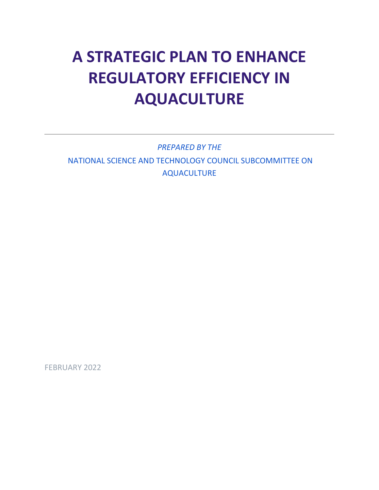# **A STRATEGIC PLAN TO ENHANCE REGULATORY EFFICIENCY IN AQUACULTURE**

*PREPARED BY THE* NATIONAL SCIENCE AND TECHNOLOGY COUNCIL SUBCOMMITTEE ON AQUACULTURE

FEBRUARY 2022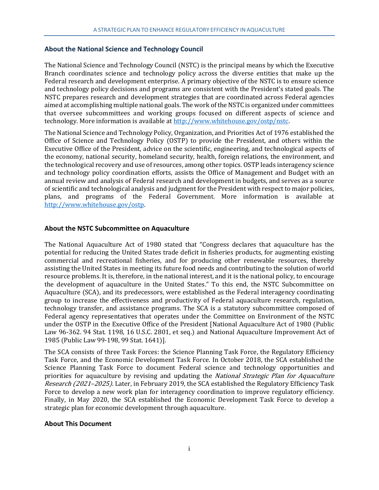#### <span id="page-1-0"></span>**About the National Science and Technology Council**

The National Science and Technology Council (NSTC) is the principal means by which the Executive Branch coordinates science and technology policy across the diverse entities that make up the Federal research and development enterprise. A primary objective of the NSTC is to ensure science and technology policy decisions and programs are consistent with the President's stated goals. The NSTC prepares research and development strategies that are coordinated across Federal agencies aimed at accomplishing multiple national goals. The work of the NSTC is organized under committees that oversee subcommittees and working groups focused on different aspects of science and technology. More information is available at [http://www.whitehouse.gov/ostp/nstc.](http://www.whitehouse.gov/ostp/nstc)

The National Science and Technology Policy, Organization, and Priorities Act of 1976 established the Office of Science and Technology Policy (OSTP) to provide the President, and others within the Executive Office of the President, advice on the scientific, engineering, and technological aspects of the economy, national security, homeland security, health, foreign relations, the environment, and the technological recovery and use of resources, among other topics. OSTP leads interagency science and technology policy coordination efforts, assists the Office of Management and Budget with an annual review and analysis of Federal research and development in budgets, and serves as a source of scientific and technological analysis and judgment for the President with respect to major policies, plans, and programs of the Federal Government. More information is available at [http://www.whitehouse.gov/ostp.](http://www.whitehouse.gov/ostp)

#### **About the NSTC Subcommittee on Aquaculture**

The National Aquaculture Act of 1980 stated that "Congress declares that aquaculture has the potential for reducing the United States trade deficit in fisheries products, for augmenting existing commercial and recreational fisheries, and for producing other renewable resources, thereby assisting the United States in meeting its future food needs and contributing to the solution of world resource problems. It is, therefore, in the national interest, and it is the national policy, to encourage the development of aquaculture in the United States." To this end, the NSTC Subcommittee on Aquaculture (SCA), and its predecessors, were established as the Federal interagency coordinating group to increase the effectiveness and productivity of Federal aquaculture research, regulation, technology transfer, and assistance programs. The SCA is a statutory subcommittee composed of Federal agency representatives that operates under the Committee on Environment of the NSTC under the OSTP in the Executive Office of the President [National Aquaculture Act of 1980 (Public Law 96-362. 94 Stat. 1198, 16 U.S.C. 2801, et seq.) and National Aquaculture Improvement Act of 1985 (Public Law 99-198, 99 Stat. 1641)].

The SCA consists of three Task Forces: the Science Planning Task Force, the Regulatory Efficiency Task Force, and the Economic Development Task Force. In October 2018, the SCA established the Science Planning Task Force to document Federal science and technology opportunities and priorities for aquaculture by revising and updating the *National Strategic Plan for Aquaculture* Research (2021–2025). Later, in February 2019, the SCA established the Regulatory Efficiency Task Force to develop a new work plan for interagency coordination to improve regulatory efficiency. Finally, in May 2020, the SCA established the Economic Development Task Force to develop a strategic plan for economic development through aquaculture.

#### **About This Document**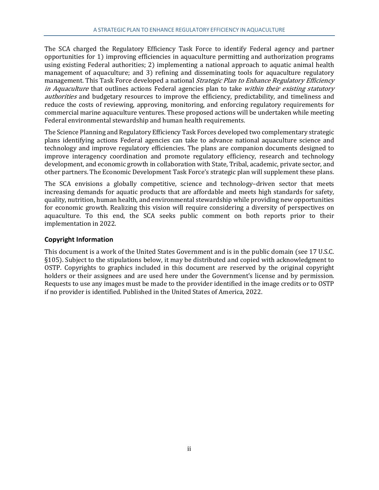The SCA charged the Regulatory Efficiency Task Force to identify Federal agency and partner opportunities for 1) improving efficiencies in aquaculture permitting and authorization programs using existing Federal authorities; 2) implementing a national approach to aquatic animal health management of aquaculture; and 3) refining and disseminating tools for aquaculture regulatory management. This Task Force developed a national *Strategic Plan to Enhance Regulatory Efficiency* in Aquaculture that outlines actions Federal agencies plan to take within their existing statutory authorities and budgetary resources to improve the efficiency, predictability, and timeliness and reduce the costs of reviewing, approving, monitoring, and enforcing regulatory requirements for commercial marine aquaculture ventures. These proposed actions will be undertaken while meeting Federal environmental stewardship and human health requirements.

The Science Planning and Regulatory Efficiency Task Forces developed two complementary strategic plans identifying actions Federal agencies can take to advance national aquaculture science and technology and improve regulatory efficiencies. The plans are companion documents designed to improve interagency coordination and promote regulatory efficiency, research and technology development, and economic growth in collaboration with State, Tribal, academic, private sector, and other partners. The Economic Development Task Force's strategic plan will supplement these plans.

The SCA envisions a globally competitive, science and technology–driven sector that meets increasing demands for aquatic products that are affordable and meets high standards for safety, quality, nutrition, human health, and environmental stewardship while providing new opportunities for economic growth. Realizing this vision will require considering a diversity of perspectives on aquaculture. To this end, the SCA seeks public comment on both reports prior to their implementation in 2022.

# **Copyright Information**

This document is a work of the United States Government and is in the public domain (see 17 U.S.C. §105). Subject to the stipulations below, it may be distributed and copied with acknowledgment to OSTP. Copyrights to graphics included in this document are reserved by the original copyright holders or their assignees and are used here under the Government's license and by permission. Requests to use any images must be made to the provider identified in the image credits or to OSTP if no provider is identified. Published in the United States of America, 2022.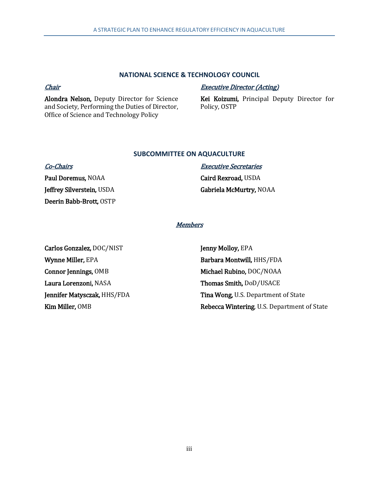#### **NATIONAL SCIENCE & TECHNOLOGY COUNCIL**

#### **Chair**

Alondra Nelson, Deputy Director for Science and Society, Performing the Duties of Director, Office of Science and Technology Policy

#### Executive Director (Acting)

Kei Koizumi, Principal Deputy Director for Policy, OSTP

#### **SUBCOMMITTEE ON AQUACULTURE**

| <b>Co-Chairs</b>          | <b>Executive Secretaries</b> |
|---------------------------|------------------------------|
| Paul Doremus, NOAA        | Caird Rexroad, USDA          |
| Jeffrey Silverstein, USDA | Gabriela McMurtry, NOAA      |
| Deerin Babb-Brott, OSTP   |                              |

# **Members**

Carlos Gonzalez, DOC/NIST Wynne Miller, EPA Connor Jennings, OMB Laura Lorenzoni, NASA Jennifer Matysczak, HHS/FDA Kim Miller, OMB

Jenny Molloy, EPA Barbara Montwill, HHS/FDA Michael Rubino, DOC/NOAA Thomas Smith, DoD/USACE Tina Wong, U.S. Department of State Rebecca Wintering, U.S. Department of State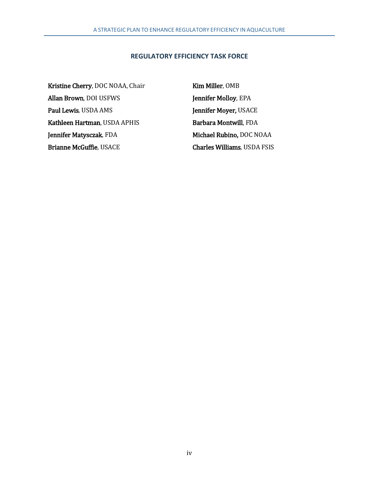#### **REGULATORY EFFICIENCY TASK FORCE**

Kristine Cherry, DOC NOAA, Chair Kim Miller, OMB Allan Brown, DOI USFWS Jennifer Molloy, EPA Paul Lewis, USDA AMS Jennifer Moyer, USACE Kathleen Hartman, USDA APHIS Barbara Montwill, FDA Jennifer Matysczak, FDA Michael Rubino, DOC NOAA Brianne McGuffie, USACE Charles Williams, USDA FSIS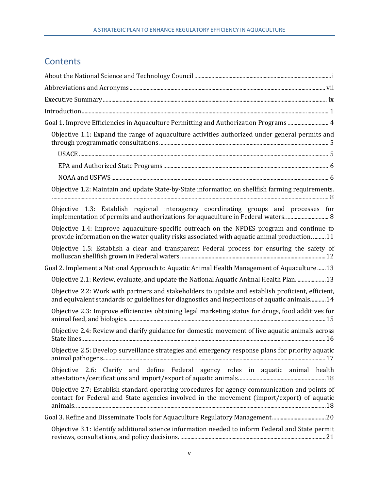# **Contents**

| Goal 1. Improve Efficiencies in Aquaculture Permitting and Authorization Programs  4                                                                                                              |
|---------------------------------------------------------------------------------------------------------------------------------------------------------------------------------------------------|
| Objective 1.1: Expand the range of aquaculture activities authorized under general permits and                                                                                                    |
|                                                                                                                                                                                                   |
|                                                                                                                                                                                                   |
|                                                                                                                                                                                                   |
| Objective 1.2: Maintain and update State-by-State information on shellfish farming requirements.                                                                                                  |
| Objective 1.3: Establish regional interagency coordinating groups and processes for<br>implementation of permits and authorizations for aquaculture in Federal waters 8                           |
| Objective 1.4: Improve aquaculture-specific outreach on the NPDES program and continue to<br>provide information on the water quality risks associated with aquatic animal production11           |
| Objective 1.5: Establish a clear and transparent Federal process for ensuring the safety of                                                                                                       |
| Goal 2. Implement a National Approach to Aquatic Animal Health Management of Aquaculture  13                                                                                                      |
|                                                                                                                                                                                                   |
| Objective 2.2: Work with partners and stakeholders to update and establish proficient, efficient,<br>and equivalent standards or guidelines for diagnostics and inspections of aquatic animals 14 |
| Objective 2.3: Improve efficiencies obtaining legal marketing status for drugs, food additives for                                                                                                |
| Objective 2.4: Review and clarify guidance for domestic movement of live aquatic animals across                                                                                                   |
| Objective 2.5: Develop surveillance strategies and emergency response plans for priority aquatic                                                                                                  |
| Objective 2.6: Clarify and define Federal agency roles in aquatic animal health                                                                                                                   |
| Objective 2.7: Establish standard operating procedures for agency communication and points of<br>contact for Federal and State agencies involved in the movement (import/export) of aquatic       |
|                                                                                                                                                                                                   |
| Objective 3.1: Identify additional science information needed to inform Federal and State permit                                                                                                  |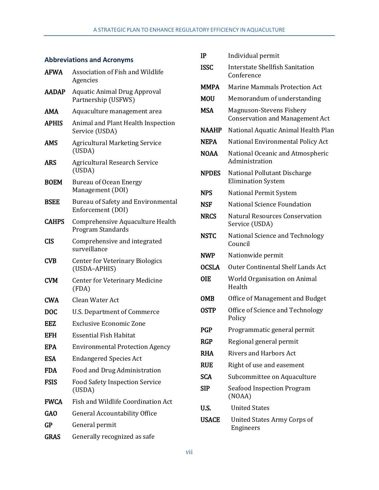# <span id="page-7-0"></span>**Abbreviations and Acronyms**

| <b>AFWA</b>  | Association of Fish and Wildlife<br>Agencies               |  |
|--------------|------------------------------------------------------------|--|
| <b>AADAP</b> | <b>Aquatic Animal Drug Approval</b><br>Partnership (USFWS) |  |
| AMA          | Aquaculture management area                                |  |
| <b>APHIS</b> | Animal and Plant Health Inspection<br>Service (USDA)       |  |
| <b>AMS</b>   | <b>Agricultural Marketing Service</b><br>(USDA)            |  |
| <b>ARS</b>   | <b>Agricultural Research Service</b><br>(USDA)             |  |
| <b>BOEM</b>  | <b>Bureau of Ocean Energy</b><br>Management (DOI)          |  |
| <b>BSEE</b>  | Bureau of Safety and Environmental<br>Enforcement (DOI)    |  |
| <b>CAHPS</b> | Comprehensive Aquaculture Health<br>Program Standards      |  |
| <b>CIS</b>   | Comprehensive and integrated<br>surveillance               |  |
| <b>CVB</b>   | <b>Center for Veterinary Biologics</b><br>(USDA-APHIS)     |  |
| <b>CVM</b>   | <b>Center for Veterinary Medicine</b><br>(FDA)             |  |
| <b>CWA</b>   | Clean Water Act                                            |  |
| <b>DOC</b>   | U.S. Department of Commerce                                |  |
| EEZ          | Exclusive Economic Zone                                    |  |
| <b>EFH</b>   | <b>Essential Fish Habitat</b>                              |  |
| EPA          | <b>Environmental Protection Agency</b>                     |  |
| <b>ESA</b>   | <b>Endangered Species Act</b>                              |  |
| <b>FDA</b>   | Food and Drug Administration                               |  |
| <b>FSIS</b>  | <b>Food Safety Inspection Service</b><br>(USDA)            |  |
| <b>FWCA</b>  | Fish and Wildlife Coordination Act                         |  |
| <b>GAO</b>   | <b>General Accountability Office</b>                       |  |
| <b>GP</b>    | General permit                                             |  |
| <b>GRAS</b>  | Generally recognized as safe                               |  |

| IP           | Individual permit                                                  |
|--------------|--------------------------------------------------------------------|
| ISSC         | Interstate Shellfish Sanitation<br>Conference                      |
| <b>MMPA</b>  | <b>Marine Mammals Protection Act</b>                               |
| MOU          | Memorandum of understanding                                        |
| <b>MSA</b>   | Magnuson-Stevens Fishery<br><b>Conservation and Management Act</b> |
| <b>NAAHP</b> | National Aquatic Animal Health Plan                                |
| <b>NEPA</b>  | National Environmental Policy Act                                  |
| <b>NOAA</b>  | National Oceanic and Atmospheric<br>Administration                 |
| <b>NPDES</b> | National Pollutant Discharge<br><b>Elimination System</b>          |
| <b>NPS</b>   | National Permit System                                             |
| NSF          | National Science Foundation                                        |
| <b>NRCS</b>  | <b>Natural Resources Conservation</b><br>Service (USDA)            |
| <b>NSTC</b>  | National Science and Technology<br>Council                         |
| <b>NWP</b>   | Nationwide permit                                                  |
| <b>OCSLA</b> | <b>Outer Continental Shelf Lands Act</b>                           |
| OIE          | World Organisation on Animal<br>Health                             |
| OMB          | Office of Management and Budget                                    |
| OSTP         | Office of Science and Technology<br>Policy                         |
| <b>PGP</b>   | Programmatic general permit                                        |
| <b>RGP</b>   | Regional general permit                                            |
| RHA          | <b>Rivers and Harbors Act</b>                                      |
| <b>RUE</b>   | Right of use and easement                                          |
| <b>SCA</b>   | Subcommittee on Aquaculture                                        |
| SIP          | <b>Seafood Inspection Program</b><br>(NOAA)                        |
| U.S.         | <b>United States</b>                                               |
| <b>USACE</b> | United States Army Corps of<br>Engineers                           |
|              |                                                                    |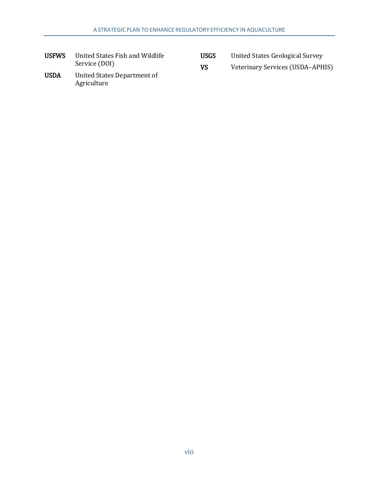| <b>USFWS</b> | United States Fish and Wildlife |
|--------------|---------------------------------|
|              | Service (DOI)                   |

| United States Geological Survey |  |  | <b>USGS</b> |
|---------------------------------|--|--|-------------|
|---------------------------------|--|--|-------------|

- VS Veterinary Services (USDA–APHIS)
- USDA United States Department of Agriculture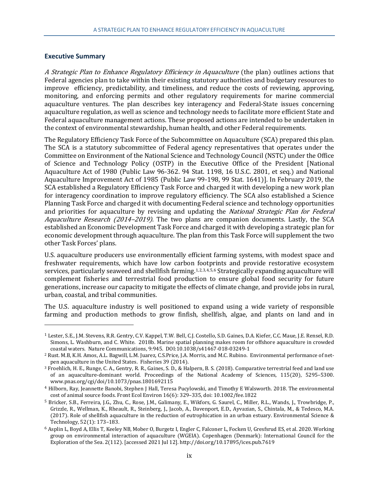#### <span id="page-9-0"></span>**Executive Summary**

j

A Strategic Plan to Enhance Regulatory Efficiency in Aquaculture (the plan) outlines actions that Federal agencies plan to take within their existing statutory authorities and budgetary resources to improve efficiency, predictability, and timeliness, and reduce the costs of reviewing, approving, monitoring, and enforcing permits and other regulatory requirements for marine commercial aquaculture ventures. The plan describes key interagency and Federal-State issues concerning aquaculture regulation, as well as science and technology needs to facilitate more efficient State and Federal aquaculture management actions. These proposed actions are intended to be undertaken in the context of environmental stewardship, human health, and other Federal requirements.

The Regulatory Efficiency Task Force of the Subcommittee on Aquaculture (SCA) prepared this plan. The SCA is a statutory subcommittee of Federal agency representatives that operates under the Committee on Environment of the National Science and Technology Council (NSTC) under the Office of Science and Technology Policy (OSTP) in the Executive Office of the President [National Aquaculture Act of 1980 (Public Law 96-362. 94 Stat. 1198, 16 U.S.C. 2801, et seq.) and National Aquaculture Improvement Act of 1985 (Public Law 99-198, 99 Stat. 1641)]. In February 2019, the SCA established a Regulatory Efficiency Task Force and charged it with developing a new work plan for interagency coordination to improve regulatory efficiency. The SCA also established a Science Planning Task Force and charged it with documenting Federal science and technology opportunities and priorities for aquaculture by revising and updating the National Strategic Plan for Federal Aquaculture Research (2014–2019). The two plans are companion documents. Lastly, the SCA established an Economic Development Task Force and charged it with developing a strategic plan for economic development through aquaculture. The plan from this Task Force will supplement the two other Task Forces' plans.

U.S. aquaculture producers use environmentally efficient farming systems, with modest space and freshwater requirements, which have low carbon footprints and provide restorative ecosystem services, particularly seaweed and shellfish farming.[1](#page-9-1),[2](#page-9-2),[3,](#page-9-3)[4,](#page-9-4)[5](#page-9-5),[6](#page-9-6) Strategically expanding aquaculture will complement fisheries and terrestrial food production to ensure global food security for future generations, increase our capacity to mitigate the effects of climate change, and provide jobs in rural, urban, coastal, and tribal communities.

The U.S. aquaculture industry is well positioned to expand using a wide variety of responsible farming and production methods to grow finfish, shellfish, algae, and plants on land and in

<span id="page-9-1"></span><sup>1</sup> Lester, S.E., J.M. Stevens, R.R. Gentry, C.V. Kappel, T.W. Bell, C.J. Costello, S.D. Gaines, D.A. Kiefer, C.C. Maue, J.E. Rensel, R.D. Simons, L. Washburn, and C. White. 2018b. Marine spatial planning makes room for offshore aquaculture in crowded coastal waters. Nature Communications, 9:945. DOI:10.1038/s41467-018-03249-1

<span id="page-9-2"></span><sup>2</sup> Rust. M.B, K.H. Amos, A.L. Bagwill, L.M. Juarez, C.S.Price, J.A. Morris, and M.C. Rubino. Environmental performance of netpen aquaculture in the United States. Fisheries 39 (2014).

<span id="page-9-3"></span><sup>3</sup> Froehlich, H. E., Runge, C. A., Gentry, R. R., Gaines, S. D., & Halpern, B. S. (2018). Comparative terrestrial feed and land use of an aquaculture-dominant world. Proceedings of the National Academy of Sciences, 115(20), 5295–5300. www.pnas.org/cgi/doi/10.1073/pnas.1801692115

<span id="page-9-4"></span><sup>4</sup> Hilborn, Ray, Jeannette Banobi, Stephen J Hall, Teresa Pucylowski, and Timothy E Walsworth. 2018. The environmental cost of animal source foods. Front Ecol Environ 16(6): 329–335, doi: 10.1002/fee.1822

<span id="page-9-5"></span><sup>5</sup> Bricker, S.B., Ferreira, J.G., Zhu, C., Rose, J.M., Galimany, E., Wikfors, G. Saurel, C., Miller, R.L., Wands, J., Trowbridge, P., Grizzle, R., Wellman, K., Rheault, R., Steinberg, J., Jacob, A., Davenport, E.D., Ayvazian, S., Chintala, M., & Tedesco, M.A. (2017). Role of shellfish aquaculture in the reduction of eutrophication in an urban estuary. Environmental Science & Technology, 52(1): 173–183.

<span id="page-9-6"></span><sup>6</sup> Asplin L, Boyd A, Ellis T, Keeley NB, Mober O, Burgetz I, Engler C, Falconer L, Focken U, Gresfsrud ES, et al. 2020. Working group on environmental interaction of aquaculture (WGEIA). Copenhagen (Denmark): International Council for the Exploration of the Sea. 2(112). [accessed 2021 Jul 12]. http://doi.org/10.17895/ices.pub.7619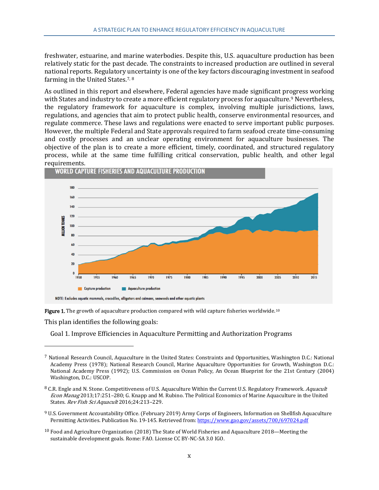freshwater, estuarine, and marine waterbodies. Despite this, U.S. aquaculture production has been relatively static for the past decade. The constraints to increased production are outlined in several national reports. Regulatory uncertainty is one of the key factors discouraging investment in seafood farming in the United States.<sup>[7,](#page-10-0) [8](#page-10-1)</sup>

As outlined in this report and elsewhere, Federal agencies have made significant progress working with States and industry to create a more efficient regulatory process for aquaculture.<sup>9</sup> Nevertheless, the regulatory framework for aquaculture is complex, involving multiple jurisdictions, laws, regulations, and agencies that aim to protect public health, conserve environmental resources, and regulate commerce. These laws and regulations were enacted to serve important public purposes. However, the multiple Federal and State approvals required to farm seafood create time-consuming and costly processes and an unclear operating environment for aquaculture businesses. The objective of the plan is to create a more efficient, timely, coordinated, and structured regulatory process, while at the same time fulfilling critical conservation, public health, and other legal **requirements.**<br>WORLD CAPTURE FISHERIES AND AQUACULTURE PRODUCTION





This plan identifies the following goals:

j

Goal 1. Improve Efficiencies in Aquaculture Permitting and Authorization Programs

- <span id="page-10-2"></span><sup>9</sup> U.S. Government Accountability Office. (February 2019) Army Corps of Engineers, Information on Shellfish Aquaculture Permitting Activities. Publication No. 19-145. Retrieved from[: https://www.gao.gov/assets/700/697024.pdf](https://www.gao.gov/assets/700/697024.pdf)
- <span id="page-10-3"></span><sup>10</sup> Food and Agriculture Organization (2018) The State of World Fisheries and Aquaculture 2018—Meeting the sustainable development goals. Rome: FAO. License CC BY-NC-SA 3.0 IGO.

<span id="page-10-0"></span><sup>7</sup> National Research Council, Aquaculture in the United States: Constraints and Opportunities, Washington D.C.: National Academy Press (1978); National Research Council, Marine Aquaculture Opportunities for Growth, Washington D.C.: National Academy Press (1992); U.S. Commission on Ocean Policy, An Ocean Blueprint for the 21st Century (2004) Washington, D.C.: USCOP.

<span id="page-10-1"></span><sup>&</sup>lt;sup>8</sup> C.R. Engle and N. Stone. Competitiveness of U.S. Aquaculture Within the Current U.S. Regulatory Framework. *Aquacult* Econ Manag 2013;17:251–280; G. Knapp and M. Rubino. The Political Economics of Marine Aquaculture in the United States. Rev Fish Sci Aquacult 2016;24:213–229.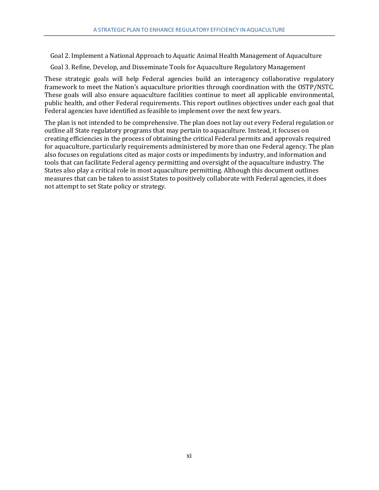Goal 2. Implement a National Approach to Aquatic Animal Health Management of Aquaculture

Goal 3. Refine, Develop, and Disseminate Tools for Aquaculture Regulatory Management

These strategic goals will help Federal agencies build an interagency collaborative regulatory framework to meet the Nation's aquaculture priorities through coordination with the OSTP/NSTC. These goals will also ensure aquaculture facilities continue to meet all applicable environmental, public health, and other Federal requirements. This report outlines objectives under each goal that Federal agencies have identified as feasible to implement over the next few years.

The plan is not intended to be comprehensive. The plan does not lay out every Federal regulation or outline all State regulatory programs that may pertain to aquaculture. Instead, it focuses on creating efficiencies in the process of obtaining the critical Federal permits and approvals required for aquaculture, particularly requirements administered by more than one Federal agency. The plan also focuses on regulations cited as major costs or impediments by industry, and information and tools that can facilitate Federal agency permitting and oversight of the aquaculture industry. The States also play a critical role in most aquaculture permitting. Although this document outlines measures that can be taken to assist States to positively collaborate with Federal agencies, it does not attempt to set State policy or strategy.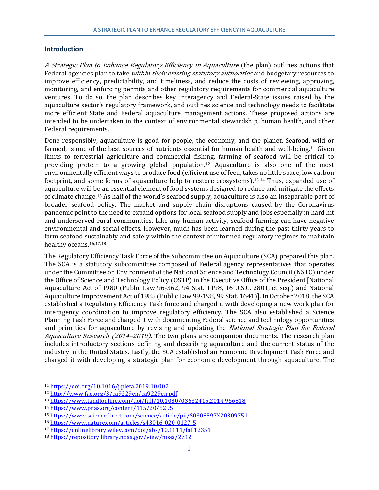#### <span id="page-12-0"></span>**Introduction**

A Strategic Plan to Enhance Regulatory Efficiency in Aquaculture (the plan) outlines actions that Federal agencies plan to take *within their existing statutory authorities* and budgetary resources to improve efficiency, predictability, and timeliness, and reduce the costs of reviewing, approving, monitoring, and enforcing permits and other regulatory requirements for commercial aquaculture ventures. To do so, the plan describes key interagency and Federal-State issues raised by the aquaculture sector's regulatory framework, and outlines science and technology needs to facilitate more efficient State and Federal aquaculture management actions. These proposed actions are intended to be undertaken in the context of environmental stewardship, human health, and other Federal requirements.

Done responsibly, aquaculture is good for people, the economy, and the planet. Seafood, wild or farmed, is one of the best sources of nutrients essential for human health and well-being.[11](#page-12-1) Given limits to terrestrial agriculture and commercial fishing, farming of seafood will be critical to providing protein to a growing global population.[12](#page-12-2) Aquaculture is also one of the most environmentally efficient ways to produce food (efficient use of feed, takes up little space, low carbon footprint, and some forms of aquaculture help to restore ecosystems).[13,](#page-12-3)[14](#page-12-4) Thus, expanded use of aquaculture will be an essential element of food systems designed to reduce and mitigate the effects of climate change.[15](#page-12-5) As half of the world's seafood supply, aquaculture is also an inseparable part of broader seafood policy. The market and supply chain disruptions caused by the Coronavirus pandemic point to the need to expand options for local seafood supply and jobs especially in hard hit and underserved rural communities. Like any human activity, seafood farming can have negative environmental and social effects. However, much has been learned during the past thirty years to farm seafood sustainably and safely within the context of informed regulatory regimes to maintain healthy oceans.<sup>[16](#page-12-6),[17,](#page-12-7)[18](#page-12-8)</sup>

The Regulatory Efficiency Task Force of the Subcommittee on Aquaculture (SCA) prepared this plan. The SCA is a statutory subcommittee composed of Federal agency representatives that operates under the Committee on Environment of the National Science and Technology Council (NSTC) under the Office of Science and Technology Policy (OSTP) in the Executive Office of the President [National Aquaculture Act of 1980 (Public Law 96-362, 94 Stat. 1198, 16 U.S.C. 2801, et seq.) and National Aquaculture Improvement Act of 1985 (Public Law 99-198, 99 Stat. 1641)]. In October 2018, the SCA established a Regulatory Efficiency Task force and charged it with developing a new work plan for interagency coordination to improve regulatory efficiency. The SCA also established a Science Planning Task Force and charged it with documenting Federal science and technology opportunities and priorities for aquaculture by revising and updating the *National Strategic Plan for Federal* Aquaculture Research (2014–2019). The two plans are companion documents. The research plan includes introductory sections defining and describing aquaculture and the current status of the industry in the United States. Lastly, the SCA established an Economic Development Task Force and charged it with developing a strategic plan for economic development through aquaculture. The

<span id="page-12-1"></span><sup>11</sup> <https://doi.org/10.1016/j.plefa.2019.10.002>

<span id="page-12-2"></span><sup>12</sup> <http://www.fao.org/3/ca9229en/ca9229en.pdf>

<span id="page-12-3"></span><sup>13</sup> <https://www.tandfonline.com/doi/full/10.1080/03632415.2014.966818>

<span id="page-12-4"></span><sup>14</sup> <https://www.pnas.org/content/115/20/5295>

<span id="page-12-5"></span><sup>15</sup> <https://www.sciencedirect.com/science/article/pii/S0308597X20309751>

<span id="page-12-6"></span><sup>16</sup> <https://www.nature.com/articles/s43016-020-0127-5>

<span id="page-12-7"></span><sup>17</sup> <https://onlinelibrary.wiley.com/doi/abs/10.1111/faf.12351>

<span id="page-12-8"></span><sup>18</sup> <https://repository.library.noaa.gov/view/noaa/2712>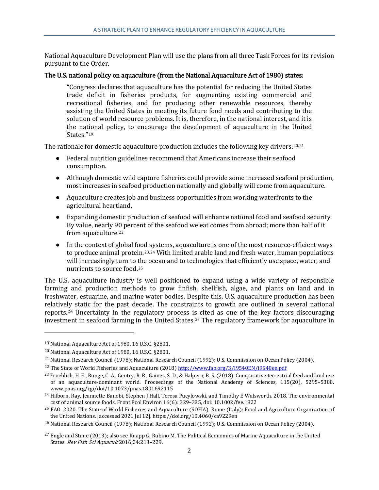National Aquaculture Development Plan will use the plans from all three Task Forces for its revision pursuant to the Order.

#### The U.S. national policy on aquaculture (from the National Aquaculture Act of 1980) states:

"Congress declares that aquaculture has the potential for reducing the United States trade deficit in fisheries products, for augmenting existing commercial and recreational fisheries, and for producing other renewable resources, thereby assisting the United States in meeting its future food needs and contributing to the solution of world resource problems. It is, therefore, in the national interest, and it is the national policy, to encourage the development of aquaculture in the United States."[19](#page-13-0)

The rationale for domestic aquaculture production includes the following key drivers: $20,21$  $20,21$ 

- Federal nutrition guidelines recommend that Americans increase their seafood consumption.
- Although domestic wild capture fisheries could provide some increased seafood production, most increases in seafood production nationally and globally will come from aquaculture.
- Aquaculture creates job and business opportunities from working waterfronts to the agricultural heartland.
- Expanding domestic production of seafood will enhance national food and seafood security. By value, nearly 90 percent of the seafood we eat comes from abroad; more than half of it from aquaculture[.22](#page-13-3)
- In the context of global food systems, aquaculture is one of the most resource-efficient ways to produce animal protein.<sup>[23](#page-13-4),[24](#page-13-5)</sup> With limited arable land and fresh water, human populations will increasingly turn to the ocean and to technologies that efficiently use space, water, and nutrients to source food.[25](#page-13-6)

The U.S. aquaculture industry is well positioned to expand using a wide variety of responsible farming and production methods to grow finfish, shellfish, algae, and plants on land and in freshwater, estuarine, and marine water bodies. Despite this, U.S. aquaculture production has been relatively static for the past decade. The constraints to growth are outlined in several national reports.[26](#page-13-7) Uncertainty in the regulatory process is cited as one of the key factors discouraging investment in seafood farming in the United States.<sup>[27](#page-13-8)</sup> The regulatory framework for aquaculture in

<span id="page-13-0"></span><sup>19</sup> National Aquaculture Act of 1980, 16 U.S.C. §2801.

<span id="page-13-1"></span><sup>20</sup> National Aquaculture Act of 1980, 16 U.S.C. §2801.

<span id="page-13-2"></span><sup>21</sup> National Research Council (1978); National Research Council (1992); U.S. Commission on Ocean Policy (2004).

<span id="page-13-3"></span><sup>&</sup>lt;sup>22</sup> The State of World Fisheries and Aquaculture (2018) http://www.fao.org/3/19540EN/i9540en.pdf

<span id="page-13-4"></span><sup>&</sup>lt;sup>23</sup> Froehlich, H. E., Runge, C. A., Gentry, R. R., Gaines, S. D., & Halpern, B. S. (2018). Comparative terrestrial feed and land use of an aquaculture-dominant world. Proceedings of the National Academy of Sciences, 115(20), 5295–5300. www.pnas.org/cgi/doi/10.1073/pnas.1801692115

<span id="page-13-5"></span><sup>&</sup>lt;sup>24</sup> Hilborn, Ray, Jeannette Banobi, Stephen J Hall, Teresa Pucylowski, and Timothy E Walsworth. 2018. The environmental cost of animal source foods. Front Ecol Environ 16(6): 329–335, doi: 10.1002/fee.1822

<span id="page-13-6"></span><sup>&</sup>lt;sup>25</sup> FAO. 2020. The State of World Fisheries and Aquaculture (SOFIA). Rome (Italy): Food and Agriculture Organization of the United Nations. [accessed 2021 Jul 12]. https://doi.org/10.4060/ca9229en

<span id="page-13-7"></span><sup>&</sup>lt;sup>26</sup> National Research Council (1978); National Research Council (1992); U.S. Commission on Ocean Policy (2004).

<span id="page-13-8"></span><sup>&</sup>lt;sup>27</sup> Engle and Stone (2013); also see Knapp G, Rubino M. The Political Economics of Marine Aquaculture in the United States. Rev Fish Sci Aquacult 2016;24:213–229.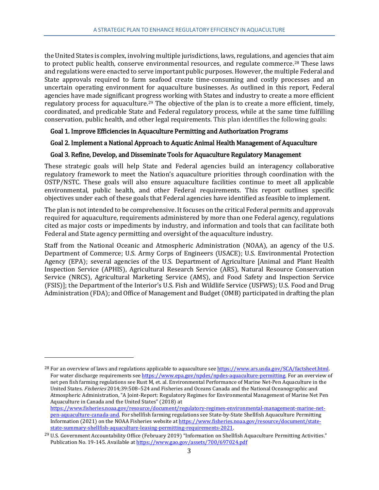the United States is complex, involving multiple jurisdictions, laws, regulations, and agencies that aim to protect public health, conserve environmental resources, and regulate commerce.[28](#page-14-0) These laws and regulations were enacted to serve important public purposes. However, the multiple Federal and State approvals required to farm seafood create time-consuming and costly processes and an uncertain operating environment for aquaculture businesses. As outlined in this report, Federal agencies have made significant progress working with States and industry to create a more efficient regulatory process for aquaculture.[29](#page-14-1) The objective of the plan is to create a more efficient, timely, coordinated, and predicable State and Federal regulatory process, while at the same time fulfilling conservation, public health, and other legal requirements. This plan identifies the following goals:

# Goal 1. Improve Efficiencies in Aquaculture Permitting and Authorization Programs

#### Goal 2. Implement a National Approach to Aquatic Animal Health Management of Aquaculture

#### Goal 3. Refine, Develop, and Disseminate Tools for Aquaculture Regulatory Management

These strategic goals will help State and Federal agencies build an interagency collaborative regulatory framework to meet the Nation's aquaculture priorities through coordination with the OSTP/NSTC. These goals will also ensure aquaculture facilities continue to meet all applicable environmental, public health, and other Federal requirements. This report outlines specific objectives under each of these goals that Federal agencies have identified as feasible to implement.

The plan is not intended to be comprehensive. It focuses on the critical Federal permits and approvals required for aquaculture, requirements administered by more than one Federal agency, regulations cited as major costs or impediments by industry, and information and tools that can facilitate both Federal and State agency permitting and oversight of the aquaculture industry.

Staff from the National Oceanic and Atmospheric Administration (NOAA), an agency of the U.S. Department of Commerce; U.S. Army Corps of Engineers (USACE); U.S. Environmental Protection Agency (EPA); several agencies of the U.S. Department of Agriculture [Animal and Plant Health Inspection Service (APHIS), Agricultural Research Service (ARS), Natural Resource Conservation Service (NRCS), Agricultural Marketing Service (AMS), and Food Safety and Inspection Service (FSIS)]; the Department of the Interior's U.S. Fish and Wildlife Service (USFWS); U.S. Food and Drug Administration (FDA); and Office of Management and Budget (OMB) participated in drafting the plan

<span id="page-14-0"></span><sup>&</sup>lt;sup>28</sup> For an overview of laws and regulations applicable to aquaculture see https://www.ars.usda.gov/SCA/factsheet.html. For water discharge requirements see [https://www.epa.gov/npdes/npdes-aquaculture-permitting.](https://www.epa.gov/npdes/npdes-aquaculture-permitting) For an overview of net pen fish farming regulations see Rust M, et. al. Environmental Performance of Marine Net-Pen Aquaculture in the United States. Fisheries 2014;39:508-524 and Fisheries and Oceans Canada and the National Oceanographic and Atmospheric Administration, "A Joint-Report: Regulatory Regimes for Environmental Management of Marine Net Pen Aquaculture in Canada and the United States" (2018) at [https://www.fisheries.noaa.gov/resource/document/regulatory-regimes-environmental-management-marine-net](https://www.fisheries.noaa.gov/resource/document/regulatory-regimes-environmental-management-marine-net-pen-aquaculture-canada-and)[pen-aquaculture-canada-and.](https://www.fisheries.noaa.gov/resource/document/regulatory-regimes-environmental-management-marine-net-pen-aquaculture-canada-and) For shellfish farming regulations see State-by-State Shellfish Aquaculture Permitting Information (2021) on the NOAA Fisheries website a[t https://www.fisheries.noaa.gov/resource/document/state](https://www.fisheries.noaa.gov/resource/document/state-state-summary-shellfish-aquaculture-leasing-permitting-requirements-2021)[state-summary-shellfish-aquaculture-leasing-permitting-requirements-2021.](https://www.fisheries.noaa.gov/resource/document/state-state-summary-shellfish-aquaculture-leasing-permitting-requirements-2021)

<span id="page-14-1"></span><sup>&</sup>lt;sup>29</sup> U.S. Government Accountability Office (February 2019) "Information on Shellfish Aquaculture Permitting Activities." Publication No. 19-145. Available a[t https://www.gao.gov/assets/700/697024.pdf](https://www.gao.gov/assets/700/697024.pdf)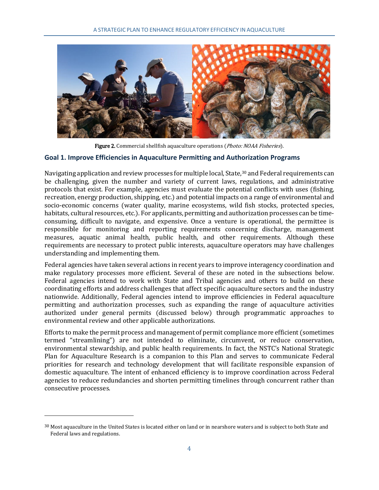

Figure 2. Commercial shellfish aquaculture operations (*Photo: NOAA Fisheries*).

#### <span id="page-15-0"></span>**Goal 1. Improve Efficiencies in Aquaculture Permitting and Authorization Programs**

Navigating application and review processes for multiple local, State,<sup>[30](#page-15-1)</sup> and Federal requirements can be challenging, given the number and variety of current laws, regulations, and administrative protocols that exist. For example, agencies must evaluate the potential conflicts with uses (fishing, recreation, energy production, shipping, etc.) and potential impacts on a range of environmental and socio-economic concerns (water quality, marine ecosystems, wild fish stocks, protected species, habitats, cultural resources, etc.). For applicants, permitting and authorization processes can be timeconsuming, difficult to navigate, and expensive. Once a venture is operational, the permittee is responsible for monitoring and reporting requirements concerning discharge, management measures, aquatic animal health, public health, and other requirements. Although these requirements are necessary to protect public interests, aquaculture operators may have challenges understanding and implementing them.

Federal agencies have taken several actions in recent years to improve interagency coordination and make regulatory processes more efficient. Several of these are noted in the subsections below. Federal agencies intend to work with State and Tribal agencies and others to build on these coordinating efforts and address challenges that affect specific aquaculture sectors and the industry nationwide. Additionally, Federal agencies intend to improve efficiencies in Federal aquaculture permitting and authorization processes, such as expanding the range of aquaculture activities authorized under general permits (discussed below) through programmatic approaches to environmental review and other applicable authorizations.

Efforts to make the permit process and management of permit compliance more efficient (sometimes termed "streamlining") are not intended to eliminate, circumvent, or reduce conservation, environmental stewardship, and public health requirements. In fact, the NSTC's National Strategic Plan for Aquaculture Research is a companion to this Plan and serves to communicate Federal priorities for research and technology development that will facilitate responsible expansion of domestic aquaculture. The intent of enhanced efficiency is to improve coordination across Federal agencies to reduce redundancies and shorten permitting timelines through concurrent rather than consecutive processes.

<span id="page-15-1"></span> $30$  Most aquaculture in the United States is located either on land or in nearshore waters and is subject to both State and Federal laws and regulations.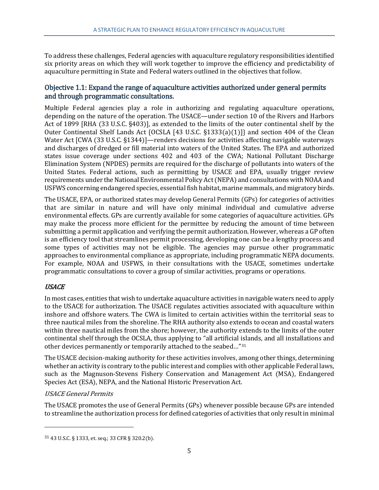To address these challenges, Federal agencies with aquaculture regulatory responsibilities identified six priority areas on which they will work together to improve the efficiency and predictability of aquaculture permitting in State and Federal waters outlined in the objectives that follow.

# <span id="page-16-0"></span>Objective 1.1: Expand the range of aquaculture activities authorized under general permits and through programmatic consultations.

Multiple Federal agencies play a role in authorizing and regulating aquaculture operations, depending on the nature of the operation. The USACE—under section 10 of the Rivers and Harbors Act of 1899 [RHA (33 U.S.C. §403)], as extended to the limits of the outer continental shelf by the Outer Continental Shelf Lands Act {OCSLA [43 U.S.C. §1333(a)(1)]} and section 404 of the Clean Water Act [CWA (33 U.S.C. §1344)]—renders decisions for activities affecting navigable waterways and discharges of dredged or fill material into waters of the United States. The EPA and authorized states issue coverage under sections 402 and 403 of the CWA; National Pollutant Discharge Elimination System (NPDES) permits are required for the discharge of pollutants into waters of the United States. Federal actions, such as permitting by USACE and EPA, usually trigger review requirements under the National Environmental Policy Act (NEPA) and consultations with NOAA and USFWS concerning endangered species, essential fish habitat, marine mammals, and migratory birds.

The USACE, EPA, or authorized states may develop General Permits (GPs) for categories of activities that are similar in nature and will have only minimal individual and cumulative adverse environmental effects. GPs are currently available for some categories of aquaculture activities. GPs may make the process more efficient for the permittee by reducing the amount of time between submitting a permit application and verifying the permit authorization. However, whereas a GP often is an efficiency tool that streamlines permit processing, developing one can be a lengthy process and some types of activities may not be eligible. The agencies may pursue other programmatic approaches to environmental compliance as appropriate, including programmatic NEPA documents. For example, NOAA and USFWS, in their consultations with the USACE, sometimes undertake programmatic consultations to cover a group of similar activities, programs or operations.

# <span id="page-16-1"></span>**USACE**

j

In most cases, entities that wish to undertake aquaculture activities in navigable waters need to apply to the USACE for authorization. The USACE regulates activities associated with aquaculture within inshore and offshore waters. The CWA is limited to certain activities within the territorial seas to three nautical miles from the shoreline. The RHA authority also extends to ocean and coastal waters within three nautical miles from the shore; however, the authority extends to the limits of the outer continental shelf through the OCSLA, thus applying to "all artificial islands, and all installations and other devices permanently or temporarily attached to the seabed…"[31](#page-16-2)

The USACE decision-making authority for these activities involves, among other things, determining whether an activity is contrary to the public interest and complies with other applicable Federal laws, such as the Magnuson-Stevens Fishery Conservation and Management Act (MSA), Endangered Species Act (ESA), NEPA, and the National Historic Preservation Act.

# USACE General Permits

The USACE promotes the use of General Permits (GPs) whenever possible because GPs are intended to streamline the authorization process for defined categories of activities that only result in minimal

<span id="page-16-2"></span><sup>31</sup> 43 U.S.C. § 1333, et. seq.; 33 CFR § 320.2(b).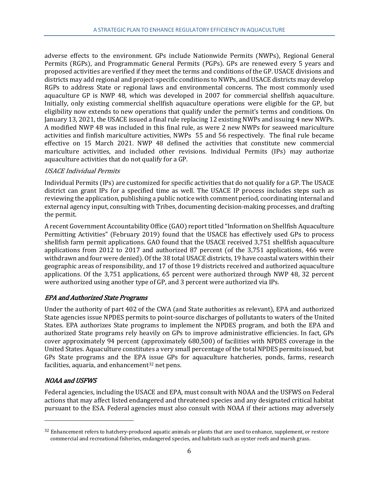adverse effects to the environment. GPs include Nationwide Permits (NWPs), Regional General Permits (RGPs), and Programmatic General Permits (PGPs). GPs are renewed every 5 years and proposed activities are verified if they meet the terms and conditions of the GP. USACE divisions and districts may add regional and project-specific conditions to NWPs, and USACE districts may develop RGPs to address State or regional laws and environmental concerns. The most commonly used aquaculture GP is NWP 48, which was developed in 2007 for commercial shellfish aquaculture. Initially, only existing commercial shellfish aquaculture operations were eligible for the GP, but eligibility now extends to new operations that qualify under the permit's terms and conditions. On January 13, 2021, the USACE issued a final rule replacing 12 existing NWPs and issuing 4 new NWPs. A modified NWP 48 was included in this final rule, as were 2 new NWPs for seaweed mariculture activities and finfish mariculture activities, NWPs 55 and 56 respectively. The final rule became effective on 15 March 2021. NWP 48 defined the activities that constitute new commercial mariculture activities, and included other revisions. Individual Permits (IPs) may authorize aquaculture activities that do not qualify for a GP.

#### USACE Individual Permits

Individual Permits (IPs) are customized for specific activities that do not qualify for a GP. The USACE district can grant IPs for a specified time as well. The USACE IP process includes steps such as reviewing the application, publishing a public notice with comment period, coordinating internal and external agency input, consulting with Tribes, documenting decision-making processes, and drafting the permit.

A recent Government Accountability Office (GAO) report titled "Information on Shellfish Aquaculture Permitting Activities" (February 2019) found that the USACE has effectively used GPs to process shellfish farm permit applications. GAO found that the USACE received 3,751 shellfish aquaculture applications from 2012 to 2017 and authorized 87 percent (of the 3,751 applications, 466 were withdrawn and four were denied). Of the 38 total USACE districts, 19 have coastal waters within their geographic areas of responsibility, and 17 of those 19 districts received and authorized aquaculture applications. Of the 3,751 applications, 65 percent were authorized through NWP 48, 32 percent were authorized using another type of GP, and 3 percent were authorized via IPs.

# <span id="page-17-0"></span>EPA and Authorized State Programs

Under the authority of part 402 of the CWA (and State authorities as relevant), EPA and authorized State agencies issue NPDES permits to point-source discharges of pollutants to waters of the United States. EPA authorizes State programs to implement the NPDES program, and both the EPA and authorized State programs rely heavily on GPs to improve administrative efficiencies. In fact, GPs cover approximately 94 percent (approximately 680,500) of facilities with NPDES coverage in the United States. Aquaculture constitutes a very small percentage of the total NPDES permits issued, but GPs State programs and the EPA issue GPs for aquaculture hatcheries, ponds, farms, research facilities, aquaria, and enhancement<sup>[32](#page-17-2)</sup> net pens.

# <span id="page-17-1"></span>NOAA and USFWS

j

Federal agencies, including the USACE and EPA, must consult with NOAA and the USFWS on Federal actions that may affect listed endangered and threatened species and any designated critical habitat pursuant to the ESA. Federal agencies must also consult with NOAA if their actions may adversely

<span id="page-17-2"></span><sup>32</sup> Enhancement refers to hatchery-produced aquatic animals or plants that are used to enhance, supplement, or restore commercial and recreational fisheries, endangered species, and habitats such as oyster reefs and marsh grass.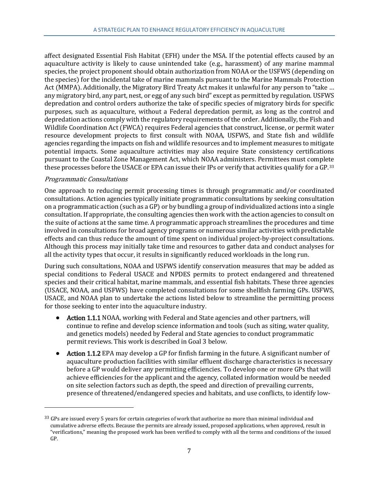affect designated Essential Fish Habitat (EFH) under the MSA. If the potential effects caused by an aquaculture activity is likely to cause unintended take (e.g., harassment) of any marine mammal species, the project proponent should obtain authorization from NOAA or the USFWS (depending on the species) for the incidental take of marine mammals pursuant to the Marine Mammals Protection Act (MMPA). Additionally, the Migratory Bird Treaty Act makes it unlawful for any person to "take … any migratory bird, any part, nest, or egg of any such bird" except as permitted by regulation. USFWS depredation and control orders authorize the take of specific species of migratory birds for specific purposes, such as aquaculture, without a Federal depredation permit, as long as the control and depredation actions comply with the regulatory requirements of the order. Additionally, the Fish and Wildlife Coordination Act (FWCA) requires Federal agencies that construct, license, or permit water resource development projects to first consult with NOAA, USFWS, and State fish and wildlife agencies regarding the impacts on fish and wildlife resources and to implement measures to mitigate potential impacts. Some aquaculture activities may also require State consistency certifications pursuant to the Coastal Zone Management Act, which NOAA administers. Permittees must complete these processes before the USACE or EPA can issue their IPs or verify that activities qualify for a GP.[33](#page-18-0)

#### Programmatic Consultations

j

One approach to reducing permit processing times is through programmatic and/or coordinated consultations. Action agencies typically initiate programmatic consultations by seeking consultation on a programmatic action (such as a GP) or by bundling a group of individualized actions into a single consultation. If appropriate, the consulting agencies then work with the action agencies to consult on the suite of actions at the same time. A programmatic approach streamlines the procedures and time involved in consultations for broad agency programs or numerous similar activities with predictable effects and can thus reduce the amount of time spent on individual project-by-project consultations. Although this process may initially take time and resources to gather data and conduct analyses for all the activity types that occur, it results in significantly reduced workloads in the long run.

During such consultations, NOAA and USFWS identify conservation measures that may be added as special conditions to Federal USACE and NPDES permits to protect endangered and threatened species and their critical habitat, marine mammals, and essential fish habitats. These three agencies (USACE, NOAA, and USFWS) have completed consultations for some shellfish farming GPs. USFWS, USACE, and NOAA plan to undertake the actions listed below to streamline the permitting process for those seeking to enter into the aquaculture industry.

- Action 1.1.1 NOAA, working with Federal and State agencies and other partners, will continue to refine and develop science information and tools (such as siting, water quality, and genetics models) needed by Federal and State agencies to conduct programmatic permit reviews. This work is described in Goal 3 below.
- Action 1.1.2 EPA may develop a GP for finfish farming in the future. A significant number of aquaculture production facilities with similar effluent discharge characteristics is necessary before a GP would deliver any permitting efficiencies. To develop one or more GPs that will achieve efficiencies for the applicant and the agency, collated information would be needed on site selection factors such as depth, the speed and direction of prevailing currents, presence of threatened/endangered species and habitats, and use conflicts, to identify low-

<span id="page-18-0"></span><sup>&</sup>lt;sup>33</sup> GPs are issued every 5 years for certain categories of work that authorize no more than minimal individual and cumulative adverse effects. Because the permits are already issued, proposed applications, when approved, result in "verifications," meaning the proposed work has been verified to comply with all the terms and conditions of the issued GP.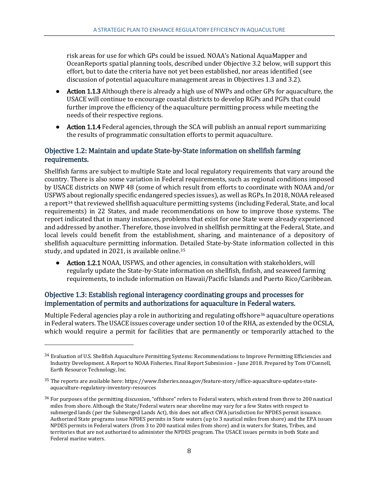risk areas for use for which GPs could be issued. NOAA's National AquaMapper and OceanReports spatial planning tools, described under Objective 3.2 below, will support this effort, but to date the criteria have not yet been established, nor areas identified (see discussion of potential aquaculture management areas in Objectives 1.3 and 3.2).

- Action 1.1.3 Although there is already a high use of NWPs and other GPs for aquaculture, the USACE will continue to encourage coastal districts to develop RGPs and PGPs that could further improve the efficiency of the aquaculture permitting process while meeting the needs of their respective regions.
- Action 1.1.4 Federal agencies, through the SCA will publish an annual report summarizing the results of programmatic consultation efforts to permit aquaculture.

# <span id="page-19-0"></span>Objective 1.2: Maintain and update State-by-State information on shellfish farming requirements.

Shellfish farms are subject to multiple State and local regulatory requirements that vary around the country. There is also some variation in Federal requirements, such as regional conditions imposed by USACE districts on NWP 48 (some of which result from efforts to coordinate with NOAA and/or USFWS about regionally specific endangered species issues), as well as RGPs. In 2018, NOAA released a report<sup>[34](#page-19-2)</sup> that reviewed shellfish aquaculture permitting systems (including Federal, State, and local requirements) in 22 States, and made recommendations on how to improve those systems. The report indicated that in many instances, problems that exist for one State were already experienced and addressed by another. Therefore, those involved in shellfish permitting at the Federal, State, and local levels could benefit from the establishment, sharing, and maintenance of a depository of shellfish aquaculture permitting information. Detailed State-by-State information collected in this study, and updated in 2021, is available online.[35](#page-19-3)

• Action 1.2.1 NOAA, USFWS, and other agencies, in consultation with stakeholders, will regularly update the State-by-State information on shellfish, finfish, and seaweed farming requirements, to include information on Hawaii/Pacific Islands and Puerto Rico/Caribbean.

# <span id="page-19-1"></span>Objective 1.3: Establish regional interagency coordinating groups and processes for implementation of permits and authorizations for aquaculture in Federal waters.

j

Multiple Federal agencies play a role in authorizing and regulating offshore<sup>[36](#page-19-4)</sup> aquaculture operations in Federal waters. The USACE issues coverage under section 10 of the RHA, as extended by the OCSLA, which would require a permit for facilities that are permanently or temporarily attached to the

<span id="page-19-2"></span><sup>34</sup> Evaluation of U.S. Shellfish Aquaculture Permitting Systems: Recommendations to Improve Permitting Efficiencies and Industry Development. A Report to NOAA Fisheries. Final Report Submission – June 2018. Prepared by Tom O'Connell, Earth Resource Technology, Inc.

<span id="page-19-3"></span><sup>35</sup> The reports are available here: https://www.fisheries.noaa.gov/feature-story/office-aquaculture-updates-stateaquaculture-regulatory-inventory-resources

<span id="page-19-4"></span><sup>36</sup> For purposes of the permitting discussion, "offshore" refers to Federal waters, which extend from three to 200 nautical miles from shore. Although the State/Federal waters near shoreline may vary for a few States with respect to submerged lands (per the Submerged Lands Act), this does not affect CWA jurisdiction for NPDES permit issuance. Authorized State programs issue NPDES permits in State waters (up to 3 nautical miles from shore) and the EPA issues NPDES permits in Federal waters (from 3 to 200 nautical miles from shore) and in waters for States, Tribes, and territories that are not authorized to administer the NPDES program. The USACE issues permits in both State and Federal marine waters.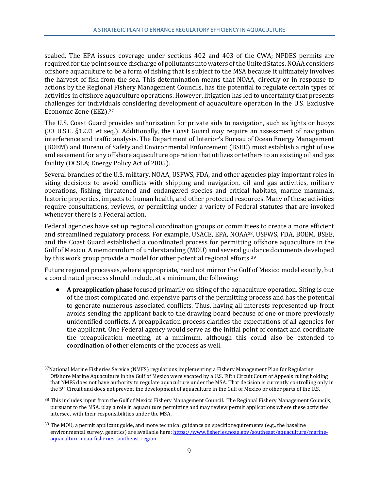seabed. The EPA issues coverage under sections 402 and 403 of the CWA; NPDES permits are required for the point source discharge of pollutants into waters of the United States. NOAA considers offshore aquaculture to be a form of fishing that is subject to the MSA because it ultimately involves the harvest of fish from the sea. This determination means that NOAA, directly or in response to actions by the Regional Fishery Management Councils, has the potential to regulate certain types of activities in offshore aquaculture operations. However, litigation has led to uncertainty that presents challenges for individuals considering development of aquaculture operation in the U.S. Exclusive Economic Zone (EEZ).[37](#page-20-0)

The U.S. Coast Guard provides authorization for private aids to navigation, such as lights or buoys (33 U.S.C. §1221 et seq.). Additionally, the Coast Guard may require an assessment of navigation interference and traffic analysis. The Department of Interior's Bureau of Ocean Energy Management (BOEM) and Bureau of Safety and Environmental Enforcement (BSEE) must establish a right of use and easement for any offshore aquaculture operation that utilizes or tethers to an existing oil and gas facility (OCSLA; Energy Policy Act of 2005).

Several branches of the U.S. military, NOAA, USFWS, FDA, and other agencies play important roles in siting decisions to avoid conflicts with shipping and navigation, oil and gas activities, military operations, fishing, threatened and endangered species and critical habitats, marine mammals, historic properties, impacts to human health, and other protected resources. Many of these activities require consultations, reviews, or permitting under a variety of Federal statutes that are invoked whenever there is a Federal action.

Federal agencies have set up regional coordination groups or committees to create a more efficient and streamlined regulatory process. For example, USACE, EPA, NOAA[38,](#page-20-1) USFWS, FDA, BOEM, BSEE, and the Coast Guard established a coordinated process for permitting offshore aquaculture in the Gulf of Mexico. A memorandum of understanding (MOU) and several guidance documents developed by this work group provide a model for other potential regional efforts.[39](#page-20-2)

Future regional processes, where appropriate, need not mirror the Gulf of Mexico model exactly, but a coordinated process should include, at a minimum, the following:

● A preapplication phase focused primarily on siting of the aquaculture operation. Siting is one of the most complicated and expensive parts of the permitting process and has the potential to generate numerous associated conflicts. Thus, having all interests represented up front avoids sending the applicant back to the drawing board because of one or more previously unidentified conflicts. A preapplication process clarifies the expectations of all agencies for the applicant. One Federal agency would serve as the initial point of contact and coordinate the preapplication meeting, at a minimum, although this could also be extended to coordination of other elements of the process as well.

<span id="page-20-0"></span> $37$ National Marine Fisheries Service (NMFS) regulations implementing a Fishery Management Plan for Regulating Offshore Marine Aquaculture in the Gulf of Mexico were vacated by a U.S. Fifth Circuit Court of Appeals ruling holding that NMFS does not have authority to regulate aquaculture under the MSA. That decision is currently controlling only in the 5th Circuit and does not prevent the development of aquaculture in the Gulf of Mexico or other parts of the U.S.

<span id="page-20-1"></span><sup>38</sup> This includes input from the Gulf of Mexico Fishery Management Council. The Regional Fishery Management Councils, pursuant to the MSA, play a role in aquaculture permitting and may review permit applications where these activities intersect with their responsibilities under the MSA.

<span id="page-20-2"></span><sup>&</sup>lt;sup>39</sup> The MOU, a permit applicant guide, and more technical guidance on specific requirements (e.g., the baseline environmental survey, genetics) are available here[: https://www.fisheries.noaa.gov/southeast/aquaculture/marine](https://www.fisheries.noaa.gov/southeast/aquaculture/marine-aquaculture-noaa-fisheries-southeast-region)[aquaculture-noaa-fisheries-southeast-region](https://www.fisheries.noaa.gov/southeast/aquaculture/marine-aquaculture-noaa-fisheries-southeast-region)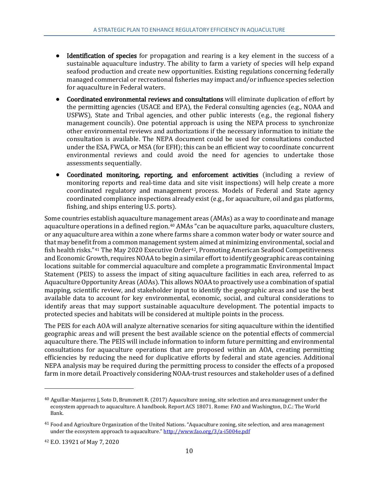- Identification of species for propagation and rearing is a key element in the success of a sustainable aquaculture industry. The ability to farm a variety of species will help expand seafood production and create new opportunities. Existing regulations concerning federally managed commercial or recreational fisheries may impact and/or influence species selection for aquaculture in Federal waters.
- Coordinated environmental reviews and consultations will eliminate duplication of effort by the permitting agencies (USACE and EPA), the Federal consulting agencies (e.g., NOAA and USFWS), State and Tribal agencies, and other public interests (e.g., the regional fishery management councils). One potential approach is using the NEPA process to synchronize other environmental reviews and authorizations if the necessary information to initiate the consultation is available. The NEPA document could be used for consultations conducted under the ESA, FWCA, or MSA (for EFH); this can be an efficient way to coordinate concurrent environmental reviews and could avoid the need for agencies to undertake those assessments sequentially.
- Coordinated monitoring, reporting, and enforcement activities (including a review of monitoring reports and real-time data and site visit inspections) will help create a more coordinated regulatory and management process. Models of Federal and State agency coordinated compliance inspections already exist (e.g., for aquaculture, oil and gas platforms, fishing, and ships entering U.S. ports).

Some countries establish aquaculture management areas (AMAs) as a way to coordinate and manage aquaculture operations in a defined region.[40](#page-21-0) AMAs "can be aquaculture parks, aquaculture clusters, or any aquaculture area within a zone where farms share a common water body or water source and that may benefit from a common management system aimed at minimizing environmental, social and fish health risks."<sup>[41](#page-21-1)</sup> The May 2020 Executive Order<sup>[42](#page-21-2)</sup>, Promoting American Seafood Competitiveness and Economic Growth, requires NOAA to begin a similar effort to identify geographic areas containing locations suitable for commercial aquaculture and complete a programmatic Environmental Impact Statement (PEIS) to assess the impact of siting aquaculture facilities in each area, referred to as Aquaculture Opportunity Areas (AOAs). This allows NOAA to proactively use a combination of spatial mapping, scientific review, and stakeholder input to identify the geographic areas and use the best available data to account for key environmental, economic, social, and cultural considerations to identify areas that may support sustainable aquaculture development. The potential impacts to protected species and habitats will be considered at multiple points in the process.

The PEIS for each AOA will analyze alternative scenarios for siting aquaculture within the identified geographic areas and will present the best available science on the potential effects of commercial aquaculture there. The PEIS will include information to inform future permitting and environmental consultations for aquaculture operations that are proposed within an AOA, creating permitting efficiencies by reducing the need for duplicative efforts by federal and state agencies. Additional NEPA analysis may be required during the permitting process to consider the effects of a proposed farm in more detail. Proactively considering NOAA-trust resources and stakeholder uses of a defined

<span id="page-21-0"></span> $40$  Aguillar-Manjarrez J, Soto D, Brummett R. (2017) Aquaculture zoning, site selection and area management under the ecosystem approach to aquaculture. A handbook. Report ACS 18071. Rome: FAO and Washington, D.C.: The World Bank.

<span id="page-21-1"></span><sup>41</sup> Food and Agriculture Organization of the United Nations. "Aquaculture zoning, site selection, and area management under the ecosystem approach to aquaculture.[" http://www.fao.org/3/a-i5004e.pdf](http://www.fao.org/3/a-i5004e.pdf)

<span id="page-21-2"></span><sup>42</sup> E.O. 13921 of May 7, 2020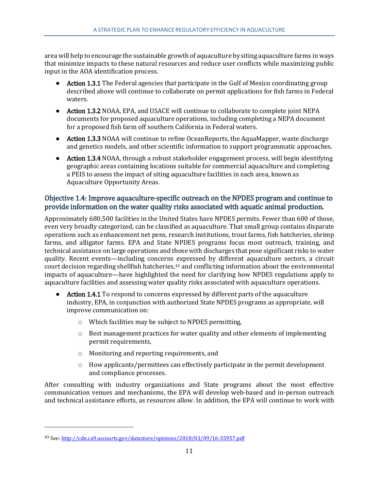area will help to encourage the sustainable growth of aquaculture by siting aquaculture farms in ways that minimize impacts to these natural resources and reduce user conflicts while maximizing public input in the AOA identification process.

- Action 1.3.1 The Federal agencies that participate in the Gulf of Mexico coordinating group described above will continue to collaborate on permit applications for fish farms in Federal waters.
- Action 1.3.2 NOAA, EPA, and USACE will continue to collaborate to complete joint NEPA documents for proposed aquaculture operations, including completing a NEPA document for a proposed fish farm off southern California in Federal waters.
- Action 1.3.3 NOAA will continue to refine OceanReports, the AquaMapper, waste discharge and genetics models, and other scientific information to support programmatic approaches.
- Action 1.3.4 NOAA, through a robust stakeholder engagement process, will begin identifying geographic areas containing locations suitable for commercial aquaculture and completing a PEIS to assess the impact of siting aquaculture facilities in each area, known as Aquaculture Opportunity Areas.

# <span id="page-22-0"></span>Objective 1.4: Improve aquaculture-specific outreach on the NPDES program and continue to provide information on the water quality risks associated with aquatic animal production.

Approximately 680,500 facilities in the United States have NPDES permits. Fewer than 600 of those, even very broadly categorized, can be classified as aquaculture. That small group contains disparate operations such as enhancement net pens, research institutions, trout farms, fish hatcheries, shrimp farms, and alligator farms. EPA and State NPDES programs focus most outreach, training, and technical assistance on large operations and those with discharges that pose significant risks to water quality. Recent events—including concerns expressed by different aquaculture sectors, a circuit court decision regarding shellfish hatcheries,<sup>[43](#page-22-1)</sup> and conflicting information about the environmental impacts of aquaculture—have highlighted the need for clarifying how NPDES regulations apply to aquaculture facilities and assessing water quality risks associated with aquaculture operations.

- Action 1.4.1 To respond to concerns expressed by different parts of the aquaculture industry, EPA, in conjunction with authorized State NPDES programs as appropriate, will improve communication on:
	- o Which facilities may be subject to NPDES permitting,
	- o Best management practices for water quality and other elements of implementing permit requirements,
	- o Monitoring and reporting requirements, and
	- $\circ$  How applicants/permittees can effectively participate in the permit development and compliance processes.

After consulting with industry organizations and State programs about the most effective communication venues and mechanisms, the EPA will develop web-based and in-person outreach and technical assistance efforts, as resources allow. In addition, the EPA will continue to work with

<span id="page-22-1"></span><sup>43</sup> See[: http://cdn.ca9.uscourts.gov/datastore/opinions/2018/03/09/16-35957.pdf](http://cdn.ca9.uscourts.gov/datastore/opinions/2018/03/09/16-35957.pdf)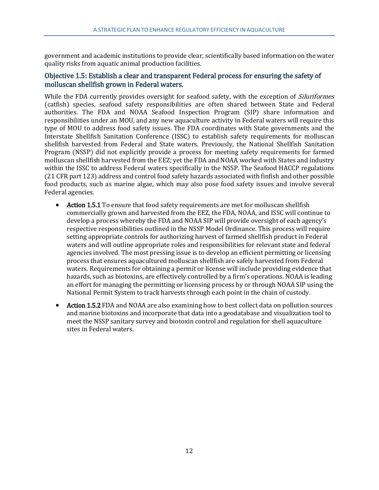government and academic institutions to provide clear, scientifically based information on the water quality risks from aquatic animal production facilities.

# <span id="page-23-0"></span>Objective 1.5: Establish a clear and transparent Federal process for ensuring the safety of molluscan shellfish grown in Federal waters.

While the FDA currently provides oversight for seafood safety, with the exception of *Siluriformes* (catfish) species, seafood safety responsibilities are often shared between State and Federal authorities. The FDA and NOAA Seafood Inspection Program (SIP) share information and responsibilities under an MOU, and any new aquaculture activity in Federal waters will require this type of MOU to address food safety issues. The FDA coordinates with State governments and the Interstate Shellfish Sanitation Conference (ISSC) to establish safety requirements for molluscan shellfish harvested from Federal and State waters. Previously, the National Shellfish Sanitation Program (NSSP) did not explicitly provide a process for meeting safety requirements for farmed molluscan shellfish harvested from the EEZ; yet the FDA and NOAA worked with States and industry within the ISSC to address Federal waters specifically in the NSSP. The Seafood HACCP regulations (21 CFR part 123) address and control food safety hazards associated with finfish and other possible food products, such as marine algae, which may also pose food safety issues and involve several Federal agencies.

- Action 1.5.1 To ensure that food safety requirements are met for molluscan shellfish commercially grown and harvested from the EEZ, the FDA, NOAA, and ISSC will continue to develop a process whereby the FDA and NOAA SIP will provide oversight of each agency's respective responsibilities outlined in the NSSP Model Ordinance. This process will require setting appropriate controls for authorizing harvest of farmed shellfish product in Federal waters and will outline appropriate roles and responsibilities for relevant state and federal agencies involved. The most pressing issue is to develop an efficient permitting or licensing process that ensures aquacultured molluscan shellfish are safely harvested from Federal waters. Requirements for obtaining a permit or license will include providing evidence that hazards, such as biotoxins, are effectively controlled by a firm's operations. NOAA is leading an effort for managing the permitting or licensing process by or through NOAA SIP using the National Permit System to track harvests through each point in the chain of custody.
- Action 1.5.2 FDA and NOAA are also examining how to best collect data on pollution sources and marine biotoxins and incorporate that data into a geodatabase and visualization tool to meet the NSSP sanitary survey and biotoxin control and regulation for shell aquaculture sites in Federal waters.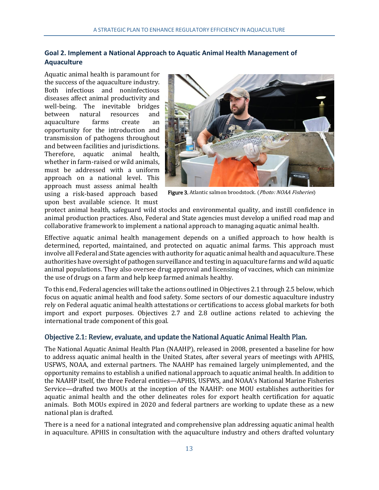# <span id="page-24-0"></span>**Goal 2. Implement a National Approach to Aquatic Animal Health Management of Aquaculture**

Aquatic animal health is paramount for the success of the aquaculture industry. Both infectious and noninfectious diseases affect animal productivity and well-being. The inevitable bridges<br>between natural resources and between natural resources and<br>aquaculture farms create an aquaculture opportunity for the introduction and transmission of pathogens throughout and between facilities and jurisdictions. Therefore, aquatic animal health, whether in farm-raised or wild animals, must be addressed with a uniform approach on a national level. This approach must assess animal health using a risk-based approach based upon best available science. It must



Figure 3. Atlantic salmon broodstock. (Photo: NOAA Fisheries)

protect animal health, safeguard wild stocks and environmental quality, and instill confidence in animal production practices. Also, Federal and State agencies must develop a unified road map and collaborative framework to implement a national approach to managing aquatic animal health.

Effective aquatic animal health management depends on a unified approach to how health is determined, reported, maintained, and protected on aquatic animal farms. This approach must involve all Federal and State agencies with authority for aquatic animal health and aquaculture. These authorities have oversight of pathogen surveillance and testing in aquaculture farms and wild aquatic animal populations. They also oversee drug approval and licensing of vaccines, which can minimize the use of drugs on a farm and help keep farmed animals healthy.

To this end, Federal agencies will take the actions outlined in Objectives 2.1 through 2.5 below, which focus on aquatic animal health and food safety. Some sectors of our domestic aquaculture industry rely on Federal aquatic animal health attestations or certifications to access global markets for both import and export purposes. Objectives 2.7 and 2.8 outline actions related to achieving the international trade component of this goal.

# <span id="page-24-1"></span>Objective 2.1: Review, evaluate, and update the National Aquatic Animal Health Plan.

The National Aquatic Animal Health Plan (NAAHP), released in 2008, presented a baseline for how to address aquatic animal health in the United States, after several years of meetings with APHIS, USFWS, NOAA, and external partners. The NAAHP has remained largely unimplemented, and the opportunity remains to establish a unified national approach to aquatic animal health. In addition to the NAAHP itself, the three Federal entities—APHIS, USFWS, and NOAA's National Marine Fisheries Service—drafted two MOUs at the inception of the NAAHP: one MOU establishes authorities for aquatic animal health and the other delineates roles for export health certification for aquatic animals. Both MOUs expired in 2020 and federal partners are working to update these as a new national plan is drafted.

There is a need for a national integrated and comprehensive plan addressing aquatic animal health in aquaculture. APHIS in consultation with the aquaculture industry and others drafted voluntary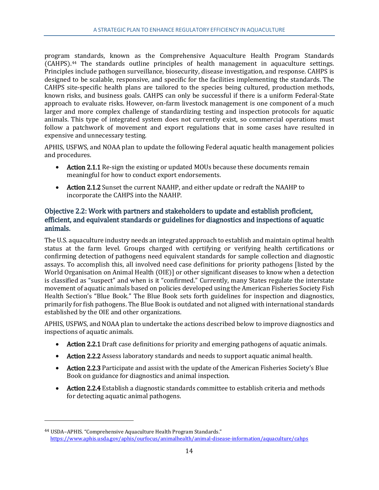program standards, known as the Comprehensive Aquaculture Health Program Standards (CAHPS).[44](#page-25-1) The standards outline principles of health management in aquaculture settings. Principles include pathogen surveillance, biosecurity, disease investigation, and response. CAHPS is designed to be scalable, responsive, and specific for the facilities implementing the standards. The CAHPS site-specific health plans are tailored to the species being cultured, production methods, known risks, and business goals. CAHPS can only be successful if there is a uniform Federal-State approach to evaluate risks. However, on-farm livestock management is one component of a much larger and more complex challenge of standardizing testing and inspection protocols for aquatic animals. This type of integrated system does not currently exist, so commercial operations must follow a patchwork of movement and export regulations that in some cases have resulted in expensive and unnecessary testing.

APHIS, USFWS, and NOAA plan to update the following Federal aquatic health management policies and procedures.

- Action 2.1.1 Re-sign the existing or updated MOUs because these documents remain meaningful for how to conduct export endorsements.
- Action 2.1.2 Sunset the current NAAHP, and either update or redraft the NAAHP to incorporate the CAHPS into the NAAHP.

# <span id="page-25-0"></span>Objective 2.2: Work with partners and stakeholders to update and establish proficient, efficient, and equivalent standards or guidelines for diagnostics and inspections of aquatic animals.

The U.S. aquaculture industry needs an integrated approach to establish and maintain optimal health status at the farm level. Groups charged with certifying or verifying health certifications or confirming detection of pathogens need equivalent standards for sample collection and diagnostic assays. To accomplish this, all involved need case definitions for priority pathogens [listed by the World Organisation on Animal Health (OIE)] or other significant diseases to know when a detection is classified as "suspect" and when is it "confirmed." Currently, many States regulate the interstate movement of aquatic animals based on policies developed using the American Fisheries Society Fish Health Section's "Blue Book." The Blue Book sets forth guidelines for inspection and diagnostics, primarily for fish pathogens. The Blue Book is outdated and not aligned with international standards established by the OIE and other organizations.

APHIS, USFWS, and NOAA plan to undertake the actions described below to improve diagnostics and inspections of aquatic animals.

- Action 2.2.1 Draft case definitions for priority and emerging pathogens of aquatic animals.
- Action 2.2.2 Assess laboratory standards and needs to support aquatic animal health.
- Action 2.2.3 Participate and assist with the update of the American Fisheries Society's Blue Book on guidance for diagnostics and animal inspection.
- Action 2.2.4 Establish a diagnostic standards committee to establish criteria and methods for detecting aquatic animal pathogens.

<span id="page-25-1"></span><sup>44</sup> USDA–APHIS. "Comprehensive Aquaculture Health Program Standards." <https://www.aphis.usda.gov/aphis/ourfocus/animalhealth/animal-disease-information/aquaculture/cahps>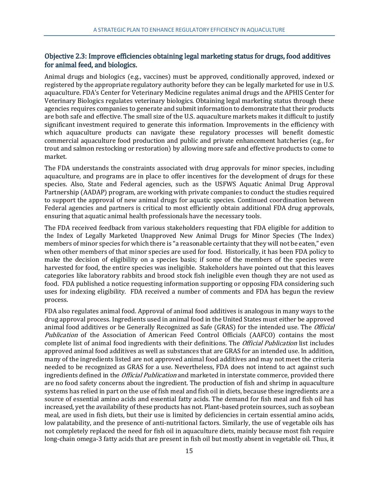# <span id="page-26-0"></span>Objective 2.3: Improve efficiencies obtaining legal marketing status for drugs, food additives for animal feed, and biologics.

Animal drugs and biologics (e.g., vaccines) must be approved, conditionally approved, indexed or registered by the appropriate regulatory authority before they can be legally marketed for use in U.S. aquaculture. FDA's Center for Veterinary Medicine regulates animal drugs and the APHIS Center for Veterinary Biologics regulates veterinary biologics. Obtaining legal marketing status through these agencies requires companies to generate and submit information to demonstrate that their products are both safe and effective. The small size of the U.S. aquaculture markets makes it difficult to justify significant investment required to generate this information. Improvements in the efficiency with which aquaculture products can navigate these regulatory processes will benefit domestic commercial aquaculture food production and public and private enhancement hatcheries (e.g., for trout and salmon restocking or restoration) by allowing more safe and effective products to come to market.

The FDA understands the constraints associated with drug approvals for minor species, including aquaculture, and programs are in place to offer incentives for the development of drugs for these species. Also, State and Federal agencies, such as the USFWS Aquatic Animal Drug Approval Partnership (AADAP) program, are working with private companies to conduct the studies required to support the approval of new animal drugs for aquatic species. Continued coordination between Federal agencies and partners is critical to most efficiently obtain additional FDA drug approvals, ensuring that aquatic animal health professionals have the necessary tools.

The FDA received feedback from various stakeholders requesting that FDA eligible for addition to the Index of Legally Marketed Unapproved New Animal Drugs for Minor Species (The Index) members of minor species for which there is "a reasonable certainty that they will not be eaten," even when other members of that minor species are used for food. Historically, it has been FDA policy to make the decision of eligibility on a species basis; if some of the members of the species were harvested for food, the entire species was ineligible. Stakeholders have pointed out that this leaves categories like laboratory rabbits and brood stock fish ineligible even though they are not used as food. FDA published a notice requesting information supporting or opposing FDA considering such uses for indexing eligibility. FDA received a number of comments and FDA has begun the review process.

FDA also regulates animal food. Approval of animal food additives is analogous in many ways to the drug approval process. Ingredients used in animal food in the United States must either be approved animal food additives or be Generally Recognized as Safe (GRAS) for the intended use. The Official Publication of the Association of American Feed Control Officials (AAFCO) contains the most complete list of animal food ingredients with their definitions. The *Official Publication* list includes approved animal food additives as well as substances that are GRAS for an intended use. In addition, many of the ingredients listed are not approved animal food additives and may not meet the criteria needed to be recognized as GRAS for a use. Nevertheless, FDA does not intend to act against such ingredients defined in the *Official Publication* and marketed in interstate commerce, provided there are no food safety concerns about the ingredient. The production of fish and shrimp in aquaculture systems has relied in part on the use of fish meal and fish oil in diets, because these ingredients are a source of essential amino acids and essential fatty acids. The demand for fish meal and fish oil has increased, yet the availability of these products has not. Plant-based protein sources, such as soybean meal, are used in fish diets, but their use is limited by deficiencies in certain essential amino acids, low palatability, and the presence of anti-nutritional factors. Similarly, the use of vegetable oils has not completely replaced the need for fish oil in aquaculture diets, mainly because most fish require long-chain omega-3 fatty acids that are present in fish oil but mostly absent in vegetable oil. Thus, it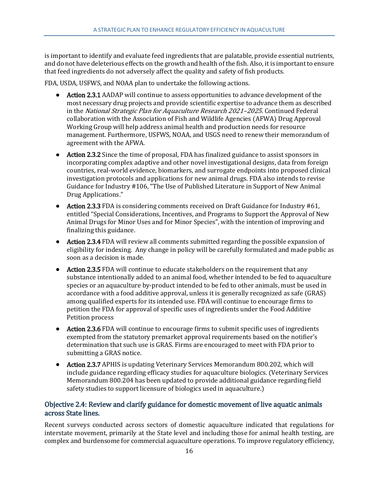is important to identify and evaluate feed ingredients that are palatable, provide essential nutrients, and do not have deleterious effects on the growth and health of the fish. Also, it is important to ensure that feed ingredients do not adversely affect the quality and safety of fish products.

FDA, USDA, USFWS, and NOAA plan to undertake the following actions.

- Action 2.3.1 AADAP will continue to assess opportunities to advance development of the most necessary drug projects and provide scientific expertise to advance them as described in the National Strategic Plan for Aquaculture Research 2021–2025. Continued Federal collaboration with the Association of Fish and Wildlife Agencies (AFWA) Drug Approval Working Group will help address animal health and production needs for resource management. Furthermore, USFWS, NOAA, and USGS need to renew their memorandum of agreement with the AFWA.
- Action 2.3.2 Since the time of proposal, FDA has finalized guidance to assist sponsors in incorporating complex adaptive and other novel investigational designs, data from foreign countries, real-world evidence, biomarkers, and surrogate endpoints into proposed clinical investigation protocols and applications for new animal drugs. FDA also intends to revise Guidance for Industry #106, "The Use of Published Literature in Support of New Animal Drug Applications."
- Action 2.3.3 FDA is considering comments received on Draft Guidance for Industry #61, entitled "Special Considerations, Incentives, and Programs to Support the Approval of New Animal Drugs for Minor Uses and for Minor Species", with the intention of improving and finalizing this guidance.
- Action 2.3.4 FDA will review all comments submitted regarding the possible expansion of eligibility for indexing. Any change in policy will be carefully formulated and made public as soon as a decision is made.
- Action 2.3.5 FDA will continue to educate stakeholders on the requirement that any substance intentionally added to an animal food, whether intended to be fed to aquaculture species or an aquaculture by-product intended to be fed to other animals, must be used in accordance with a food additive approval, unless it is generally recognized as safe (GRAS) among qualified experts for its intended use. FDA will continue to encourage firms to petition the FDA for approval of specific uses of ingredients under the Food Additive Petition process
- Action 2.3.6 FDA will continue to encourage firms to submit specific uses of ingredients exempted from the statutory premarket approval requirements based on the notifier's determination that such use is GRAS. Firms are encouraged to meet with FDA prior to submitting a GRAS notice.
- Action 2.3.7 APHIS is updating Veterinary Services Memorandum 800.202, which will include guidance regarding efficacy studies for aquaculture biologics. (Veterinary Services Memorandum 800.204 has been updated to provide additional guidance regarding field safety studies to support licensure of biologics used in aquaculture.)

# <span id="page-27-0"></span>Objective 2.4: Review and clarify guidance for domestic movement of live aquatic animals across State lines.

Recent surveys conducted across sectors of domestic aquaculture indicated that regulations for interstate movement, primarily at the State level and including those for animal health testing, are complex and burdensome for commercial aquaculture operations. To improve regulatory efficiency,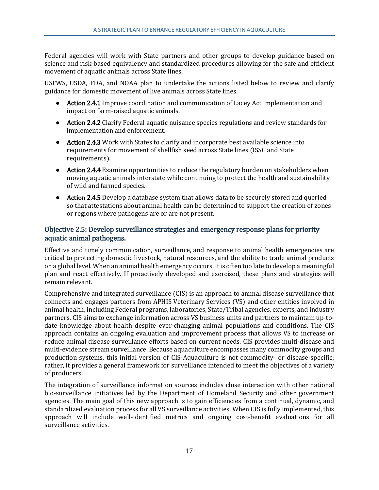Federal agencies will work with State partners and other groups to develop guidance based on science and risk-based equivalency and standardized procedures allowing for the safe and efficient movement of aquatic animals across State lines.

USFWS, USDA, FDA, and NOAA plan to undertake the actions listed below to review and clarify guidance for domestic movement of live animals across State lines.

- Action 2.4.1 Improve coordination and communication of Lacey Act implementation and impact on farm-raised aquatic animals.
- Action 2.4.2 Clarify Federal aquatic nuisance species regulations and review standards for implementation and enforcement.
- Action 2.4.3 Work with States to clarify and incorporate best available science into requirements for movement of shellfish seed across State lines (ISSC and State requirements).
- Action 2.4.4 Examine opportunities to reduce the regulatory burden on stakeholders when moving aquatic animals interstate while continuing to protect the health and sustainability of wild and farmed species.
- Action 2.4.5 Develop a database system that allows data to be securely stored and queried so that attestations about animal health can be determined to support the creation of zones or regions where pathogens are or are not present.

# <span id="page-28-0"></span>Objective 2.5: Develop surveillance strategies and emergency response plans for priority aquatic animal pathogens.

Effective and timely communication, surveillance, and response to animal health emergencies are critical to protecting domestic livestock, natural resources, and the ability to trade animal products on a global level. When an animal health emergency occurs, it is often too late to develop a meaningful plan and react effectively. If proactively developed and exercised, these plans and strategies will remain relevant.

Comprehensive and integrated surveillance (CIS) is an approach to animal disease surveillance that connects and engages partners from APHIS Veterinary Services (VS) and other entities involved in animal health, including Federal programs, laboratories, State/Tribal agencies, experts, and industry partners. CIS aims to exchange information across VS business units and partners to maintain up-todate knowledge about health despite ever-changing animal populations and conditions. The CIS approach contains an ongoing evaluation and improvement process that allows VS to increase or reduce animal disease surveillance efforts based on current needs. CIS provides multi-disease and multi-evidence stream surveillance. Because aquaculture encompasses many commodity groups and production systems, this initial version of CIS-Aquaculture is not commodity- or disease-specific; rather, it provides a general framework for surveillance intended to meet the objectives of a variety of producers.

The integration of surveillance information sources includes close interaction with other national bio-surveillance initiatives led by the Department of Homeland Security and other government agencies. The main goal of this new approach is to gain efficiencies from a continual, dynamic, and standardized evaluation process for all VS surveillance activities. When CIS is fully implemented, this approach will include well-identified metrics and ongoing cost-benefit evaluations for all surveillance activities.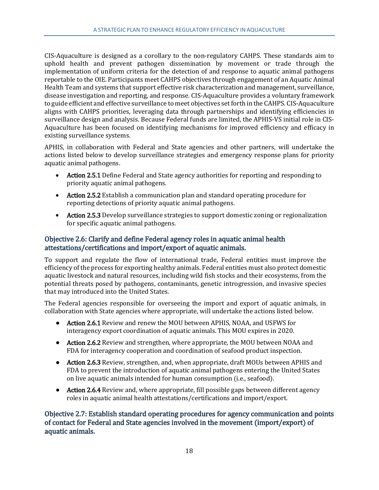CIS-Aquaculture is designed as a corollary to the non-regulatory CAHPS. These standards aim to uphold health and prevent pathogen dissemination by movement or trade through the implementation of uniform criteria for the detection of and response to aquatic animal pathogens reportable to the OIE. Participants meet CAHPS objectives through engagement of an Aquatic Animal Health Team and systems that support effective risk characterization and management, surveillance, disease investigation and reporting, and response. CIS-Aquaculture provides a voluntary framework to guide efficient and effective surveillance to meet objectives set forth in the CAHPS. CIS-Aquaculture aligns with CAHPS priorities, leveraging data through partnerships and identifying efficiencies in surveillance design and analysis. Because Federal funds are limited, the APHIS-VS initial role in CIS-Aquaculture has been focused on identifying mechanisms for improved efficiency and efficacy in existing surveillance systems.

APHIS, in collaboration with Federal and State agencies and other partners, will undertake the actions listed below to develop surveillance strategies and emergency response plans for priority aquatic animal pathogens.

- Action 2.5.1 Define Federal and State agency authorities for reporting and responding to priority aquatic animal pathogens.
- Action 2.5.2 Establish a communication plan and standard operating procedure for reporting detections of priority aquatic animal pathogens.
- Action 2.5.3 Develop surveillance strategies to support domestic zoning or regionalization for specific aquatic animal pathogens.

# <span id="page-29-0"></span>Objective 2.6: Clarify and define Federal agency roles in aquatic animal health attestations/certifications and import/export of aquatic animals.

To support and regulate the flow of international trade, Federal entities must improve the efficiency of the process for exporting healthy animals. Federal entities must also protect domestic aquatic livestock and natural resources, including wild fish stocks and their ecosystems, from the potential threats posed by pathogens, contaminants, genetic introgression, and invasive species that may introduced into the United States.

The Federal agencies responsible for overseeing the import and export of aquatic animals, in collaboration with State agencies where appropriate, will undertake the actions listed below.

- Action 2.6.1 Review and renew the MOU between APHIS, NOAA, and USFWS for interagency export coordination of aquatic animals. This MOU expires in 2020.
- Action 2.6.2 Review and strengthen, where appropriate, the MOU between NOAA and FDA for interagency cooperation and coordination of seafood product inspection.
- Action 2.6.3 Review, strengthen, and, when appropriate, draft MOUs between APHIS and FDA to prevent the introduction of aquatic animal pathogens entering the United States on live aquatic animals intended for human consumption (i.e., seafood).
- Action 2.6.4 Review and, where appropriate, fill possible gaps between different agency roles in aquatic animal health attestations/certifications and import/export.

<span id="page-29-1"></span>Objective 2.7: Establish standard operating procedures for agency communication and points of contact for Federal and State agencies involved in the movement (import/export) of aquatic animals.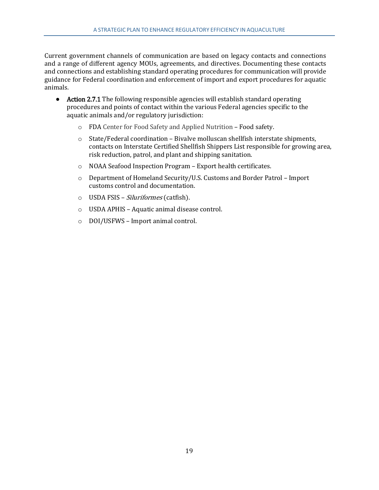Current government channels of communication are based on legacy contacts and connections and a range of different agency MOUs, agreements, and directives. Documenting these contacts and connections and establishing standard operating procedures for communication will provide guidance for Federal coordination and enforcement of import and export procedures for aquatic animals.

- Action 2.7.1 The following responsible agencies will establish standard operating procedures and points of contact within the various Federal agencies specific to the aquatic animals and/or regulatory jurisdiction:
	- o FDA Center for Food Safety and Applied Nutrition Food safety.
	- $\circ$  State/Federal coordination Bivalve molluscan shellfish interstate shipments, contacts on Interstate Certified Shellfish Shippers List responsible for growing area, risk reduction, patrol, and plant and shipping sanitation.
	- o NOAA Seafood Inspection Program Export health certificates.
	- o Department of Homeland Security/U.S. Customs and Border Patrol Import customs control and documentation.
	- o USDA FSIS Siluriformes (catfish).
	- o USDA APHIS Aquatic animal disease control.
	- o DOI/USFWS Import animal control.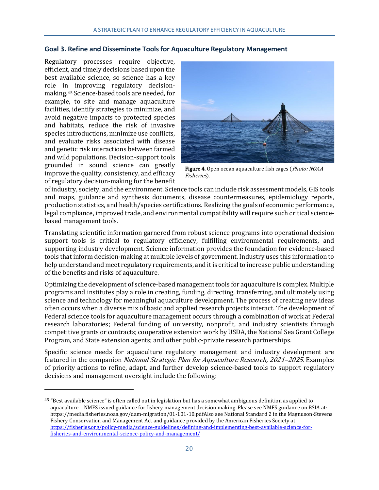#### <span id="page-31-0"></span>**Goal 3. Refine and Disseminate Tools for Aquaculture Regulatory Management**

Regulatory processes require objective, efficient, and timely decisions based upon the best available science, so science has a key role in improving regulatory decisionmaking.[45](#page-31-1) Science-based tools are needed, for example, to site and manage aquaculture facilities, identify strategies to minimize, and avoid negative impacts to protected species and habitats, reduce the risk of invasive species introductions, minimize use conflicts, and evaluate risks associated with disease and genetic risk interactions between farmed and wild populations. Decision-support tools grounded in sound science can greatly improve the quality, consistency, and efficacy of regulatory decision-making for the benefit

j



Figure 4. Open ocean aquaculture fish cages (Photo: NOAA Fisheries).

of industry, society, and the environment. Science tools can include risk assessment models, GIS tools and maps, guidance and synthesis documents, disease countermeasures, epidemiology reports, production statistics, and health/species certifications. Realizing the goals of economic performance, legal compliance, improved trade, and environmental compatibility will require such critical sciencebased management tools.

Translating scientific information garnered from robust science programs into operational decision support tools is critical to regulatory efficiency, fulfilling environmental requirements, and supporting industry development. Science information provides the foundation for evidence-based tools that inform decision-making at multiple levels of government. Industry uses this information to help understand and meet regulatory requirements, and it is critical to increase public understanding of the benefits and risks of aquaculture.

Optimizing the development of science-based management tools for aquaculture is complex. Multiple programs and institutes play a role in creating, funding, directing, transferring, and ultimately using science and technology for meaningful aquaculture development. The process of creating new ideas often occurs when a diverse mix of basic and applied research projects interact. The development of Federal science tools for aquaculture management occurs through a combination of work at Federal research laboratories; Federal funding of university, nonprofit, and industry scientists through competitive grants or contracts; cooperative extension work by USDA, the National Sea Grant College Program, and State extension agents; and other public-private research partnerships.

Specific science needs for aquaculture regulatory management and industry development are featured in the companion National Strategic Plan for Aquaculture Research, 2021–2025. Examples of priority actions to refine, adapt, and further develop science-based tools to support regulatory decisions and management oversight include the following:

<span id="page-31-1"></span><sup>&</sup>lt;sup>45</sup> "Best available science" is often called out in legislation but has a somewhat ambiguous definition as applied to aquaculture. NMFS issued guidance for fishery management decision making. Please see NMFS guidance on BSIA at: https://media.fisheries.noaa.gov/dam-migration/01-101-10.pdfAlso see National Standard 2 in the Magnuson-Stevens Fishery Conservation and Management Act and guidance provided by the American Fisheries Society at [https://fisheries.org/policy-media/science-guidelines/defining-and-implementing-best-available-science-for](https://fisheries.org/policy-media/science-guidelines/defining-and-implementing-best-available-science-for-fisheries-and-environmental-science-policy-and-management/)[fisheries-and-environmental-science-policy-and-management/](https://fisheries.org/policy-media/science-guidelines/defining-and-implementing-best-available-science-for-fisheries-and-environmental-science-policy-and-management/)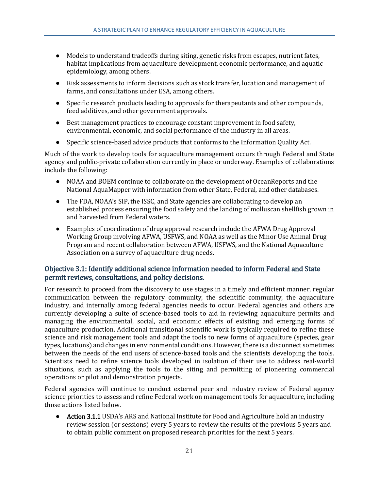- Models to understand tradeoffs during siting, genetic risks from escapes, nutrient fates, habitat implications from aquaculture development, economic performance, and aquatic epidemiology, among others.
- Risk assessments to inform decisions such as stock transfer, location and management of farms, and consultations under ESA, among others.
- Specific research products leading to approvals for therapeutants and other compounds, feed additives, and other government approvals.
- Best management practices to encourage constant improvement in food safety, environmental, economic, and social performance of the industry in all areas.
- Specific science-based advice products that conforms to the Information Quality Act.

Much of the work to develop tools for aquaculture management occurs through Federal and State agency and public-private collaboration currently in place or underway. Examples of collaborations include the following:

- NOAA and BOEM continue to collaborate on the development of OceanReports and the National AquaMapper with information from other State, Federal, and other databases.
- The FDA, NOAA's SIP, the ISSC, and State agencies are collaborating to develop an established process ensuring the food safety and the landing of molluscan shellfish grown in and harvested from Federal waters.
- Examples of coordination of drug approval research include the AFWA Drug Approval Working Group involving AFWA, USFWS, and NOAA as well as the Minor Use Animal Drug Program and recent collaboration between AFWA, USFWS, and the National Aquaculture Association on a survey of aquaculture drug needs.

# <span id="page-32-0"></span>Objective 3.1: Identify additional science information needed to inform Federal and State permit reviews, consultations, and policy decisions.

For research to proceed from the discovery to use stages in a timely and efficient manner, regular communication between the regulatory community, the scientific community, the aquaculture industry, and internally among federal agencies needs to occur. Federal agencies and others are currently developing a suite of science-based tools to aid in reviewing aquaculture permits and managing the environmental, social, and economic effects of existing and emerging forms of aquaculture production. Additional transitional scientific work is typically required to refine these science and risk management tools and adapt the tools to new forms of aquaculture (species, gear types, locations) and changes in environmental conditions. However, there is a disconnect sometimes between the needs of the end users of science-based tools and the scientists developing the tools. Scientists need to refine science tools developed in isolation of their use to address real-world situations, such as applying the tools to the siting and permitting of pioneering commercial operations or pilot and demonstration projects.

Federal agencies will continue to conduct external peer and industry review of Federal agency science priorities to assess and refine Federal work on management tools for aquaculture, including those actions listed below.

• Action 3.1.1 USDA's ARS and National Institute for Food and Agriculture hold an industry review session (or sessions) every 5 years to review the results of the previous 5 years and to obtain public comment on proposed research priorities for the next 5 years.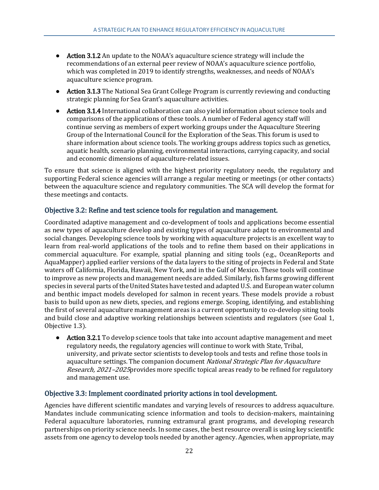- Action 3.1.2 An update to the NOAA's aquaculture science strategy will include the recommendations of an external peer review of NOAA's aquaculture science portfolio, which was completed in 2019 to identify strengths, weaknesses, and needs of NOAA's aquaculture science program.
- Action 3.1.3 The National Sea Grant College Program is currently reviewing and conducting strategic planning for Sea Grant's aquaculture activities.
- Action 3.1.4 International collaboration can also yield information about science tools and comparisons of the applications of these tools. A number of Federal agency staff will continue serving as members of expert working groups under the Aquaculture Steering Group of the International Council for the Exploration of the Seas. This forum is used to share information about science tools. The working groups address topics such as genetics, aquatic health, scenario planning, environmental interactions, carrying capacity, and social and economic dimensions of aquaculture-related issues.

To ensure that science is aligned with the highest priority regulatory needs, the regulatory and supporting Federal science agencies will arrange a regular meeting or meetings (or other contacts) between the aquaculture science and regulatory communities. The SCA will develop the format for these meetings and contacts.

# <span id="page-33-0"></span>Objective 3.2: Refine and test science tools for regulation and management.

Coordinated adaptive management and co-development of tools and applications become essential as new types of aquaculture develop and existing types of aquaculture adapt to environmental and social changes. Developing science tools by working with aquaculture projects is an excellent way to learn from real-world applications of the tools and to refine them based on their applications in commercial aquaculture. For example, spatial planning and siting tools (e.g., OceanReports and AquaMapper) applied earlier versions of the data layers to the siting of projects in Federal and State waters off California, Florida, Hawaii, New York, and in the Gulf of Mexico. These tools will continue to improve as new projects and management needs are added. Similarly, fish farms growing different species in several parts of the United States have tested and adapted U.S. and European water column and benthic impact models developed for salmon in recent years. These models provide a robust basis to build upon as new diets, species, and regions emerge. Scoping, identifying, and establishing the first of several aquaculture management areas is a current opportunity to co-develop siting tools and build close and adaptive working relationships between scientists and regulators (see Goal 1, Objective 1.3).

● Action 3.2.1 To develop science tools that take into account adaptive management and meet regulatory needs, the regulatory agencies will continue to work with State, Tribal, university, and private sector scientists to develop tools and tests and refine those tools in aquaculture settings. The companion document National Strategic Plan for Aquaculture Research, 2021–2025provides more specific topical areas ready to be refined for regulatory and management use.

#### <span id="page-33-1"></span>Objective 3.3: Implement coordinated priority actions in tool development.

Agencies have different scientific mandates and varying levels of resources to address aquaculture. Mandates include communicating science information and tools to decision-makers, maintaining Federal aquaculture laboratories, running extramural grant programs, and developing research partnerships on priority science needs. In some cases, the best resource overall is using key scientific assets from one agency to develop tools needed by another agency. Agencies, when appropriate, may